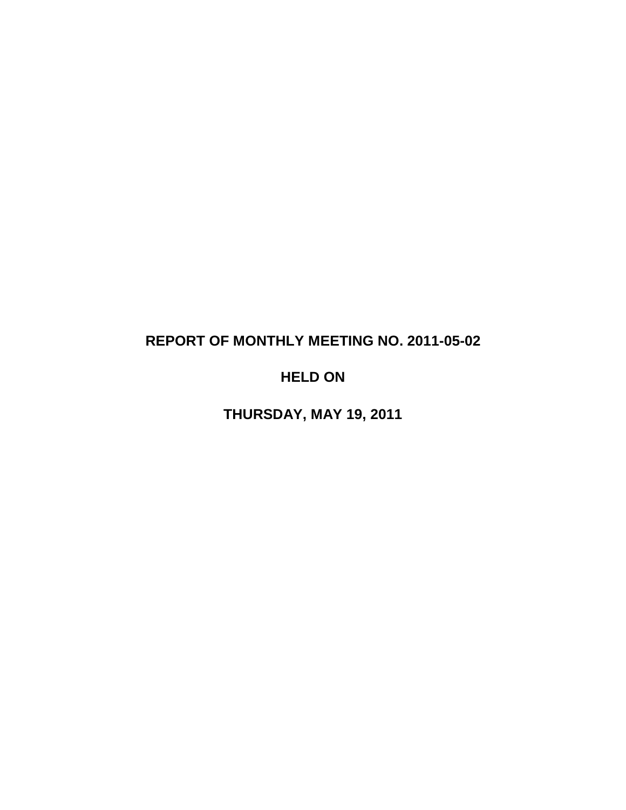# **REPORT OF MONTHLY MEETING NO. 2011-05-02**

# **HELD ON**

**THURSDAY, MAY 19, 2011**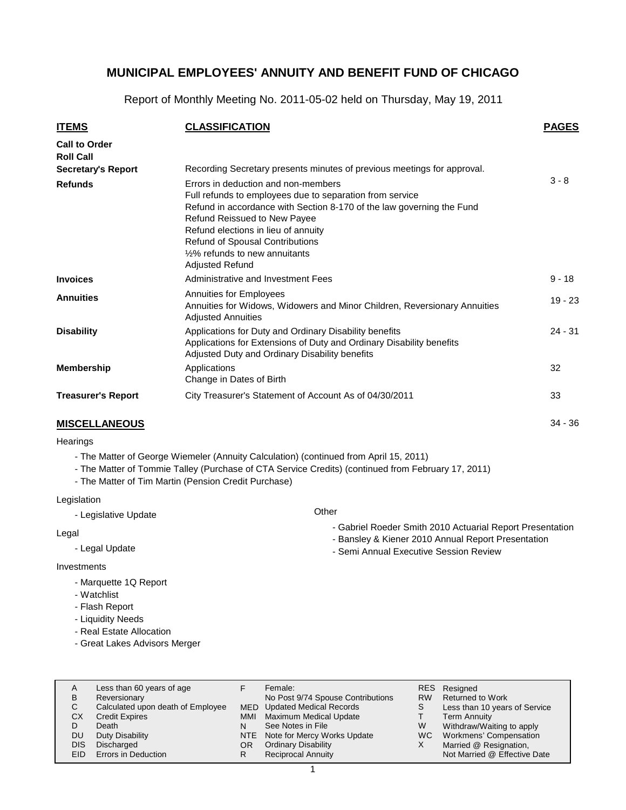Report of Monthly Meeting No. 2011-05-02 held on Thursday, May 19, 2011

| <b>ITEMS</b>                                                          | <b>CLASSIFICATION</b>                                                                                                                                                                                                                                                                                                                   | <b>PAGES</b> |
|-----------------------------------------------------------------------|-----------------------------------------------------------------------------------------------------------------------------------------------------------------------------------------------------------------------------------------------------------------------------------------------------------------------------------------|--------------|
| <b>Call to Order</b><br><b>Roll Call</b><br><b>Secretary's Report</b> | Recording Secretary presents minutes of previous meetings for approval.                                                                                                                                                                                                                                                                 |              |
| <b>Refunds</b>                                                        | Errors in deduction and non-members<br>Full refunds to employees due to separation from service<br>Refund in accordance with Section 8-170 of the law governing the Fund<br>Refund Reissued to New Payee<br>Refund elections in lieu of annuity<br>Refund of Spousal Contributions<br>1/2% refunds to new annuitants<br>Adjusted Refund | $3 - 8$      |
| <b>Invoices</b>                                                       | Administrative and Investment Fees                                                                                                                                                                                                                                                                                                      | $9 - 18$     |
| <b>Annuities</b>                                                      | <b>Annuities for Employees</b><br>Annuities for Widows, Widowers and Minor Children, Reversionary Annuities<br><b>Adjusted Annuities</b>                                                                                                                                                                                                | $19 - 23$    |
| <b>Disability</b>                                                     | Applications for Duty and Ordinary Disability benefits<br>Applications for Extensions of Duty and Ordinary Disability benefits<br>Adjusted Duty and Ordinary Disability benefits                                                                                                                                                        | $24 - 31$    |
| <b>Membership</b>                                                     | Applications<br>Change in Dates of Birth                                                                                                                                                                                                                                                                                                | 32           |
| <b>Treasurer's Report</b>                                             | City Treasurer's Statement of Account As of 04/30/2011                                                                                                                                                                                                                                                                                  | 33           |
| <b>MISCELLANEOUS</b>                                                  |                                                                                                                                                                                                                                                                                                                                         | $34 - 36$    |

**Hearings** 

- The Matter of George Wiemeler (Annuity Calculation) (continued from April 15, 2011)
- The Matter of Tommie Talley (Purchase of CTA Service Credits) (continued from February 17, 2011)
- The Matter of Tim Martin (Pension Credit Purchase)

#### Legislation

- Legislative Update

#### Legal

- Legal Update

#### Investments

- Marquette 1Q Report
- Watchlist
- Flash Report
- Liquidity Needs
- Real Estate Allocation
- Great Lakes Advisors Merger

| A<br>в<br>С<br>СX<br>D<br>DU<br><b>DIS</b> | Less than 60 years of age<br>Reversionary<br>Calculated upon death of Employee<br><b>Credit Expires</b><br>Death<br>Duty Disability<br>Discharged | MMI<br>OR | Female:<br>No Post 9/74 Spouse Contributions<br><b>MED</b> Updated Medical Records<br><b>Maximum Medical Update</b><br>See Notes in File<br>NTE Note for Mercy Works Update<br><b>Ordinary Disability</b> | <b>RW</b><br>S<br>W<br>WC.<br>X | RES Resigned<br><b>Returned to Work</b><br>Less than 10 years of Service<br><b>Term Annuity</b><br>Withdraw/Waiting to apply<br>Workmens' Compensation<br>Married @ Resignation, |
|--------------------------------------------|---------------------------------------------------------------------------------------------------------------------------------------------------|-----------|-----------------------------------------------------------------------------------------------------------------------------------------------------------------------------------------------------------|---------------------------------|----------------------------------------------------------------------------------------------------------------------------------------------------------------------------------|
| EID                                        | <b>Errors in Deduction</b>                                                                                                                        |           | <b>Reciprocal Annuity</b>                                                                                                                                                                                 |                                 | Not Married @ Effective Date                                                                                                                                                     |

**Other** 

- Gabriel Roeder Smith 2010 Actuarial Report Presentation
- Bansley & Kiener 2010 Annual Report Presentation
- Semi Annual Executive Session Review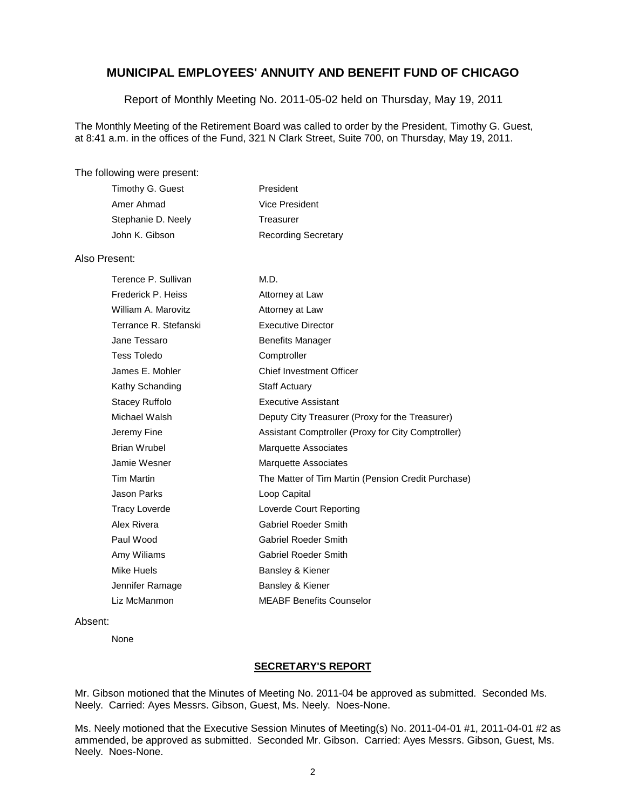Report of Monthly Meeting No. 2011-05-02 held on Thursday, May 19, 2011

The Monthly Meeting of the Retirement Board was called to order by the President, Timothy G. Guest, at 8:41 a.m. in the offices of the Fund, 321 N Clark Street, Suite 700, on Thursday, May 19, 2011.

#### The following were present:

| Timothy G. Guest   | President                  |
|--------------------|----------------------------|
| Amer Ahmad         | Vice President             |
| Stephanie D. Neely | Treasurer                  |
| John K. Gibson     | <b>Recording Secretary</b> |

#### Also Present:

| Terence P. Sullivan   | M.D.                                               |
|-----------------------|----------------------------------------------------|
| Frederick P. Heiss    | Attorney at Law                                    |
| William A. Marovitz   | Attorney at Law                                    |
| Terrance R. Stefanski | <b>Executive Director</b>                          |
| Jane Tessaro          | <b>Benefits Manager</b>                            |
| <b>Tess Toledo</b>    | Comptroller                                        |
| James E. Mohler       | <b>Chief Investment Officer</b>                    |
| Kathy Schanding       | <b>Staff Actuary</b>                               |
| Stacey Ruffolo        | <b>Executive Assistant</b>                         |
| Michael Walsh         | Deputy City Treasurer (Proxy for the Treasurer)    |
| Jeremy Fine           | Assistant Comptroller (Proxy for City Comptroller) |
| <b>Brian Wrubel</b>   | <b>Marquette Associates</b>                        |
| Jamie Wesner          | <b>Marquette Associates</b>                        |
| <b>Tim Martin</b>     | The Matter of Tim Martin (Pension Credit Purchase) |
| Jason Parks           | Loop Capital                                       |
| <b>Tracy Loverde</b>  | Loverde Court Reporting                            |
| Alex Rivera           | <b>Gabriel Roeder Smith</b>                        |
| Paul Wood             | <b>Gabriel Roeder Smith</b>                        |
| Amy Wiliams           | <b>Gabriel Roeder Smith</b>                        |
| Mike Huels            | Bansley & Kiener                                   |
| Jennifer Ramage       | Bansley & Kiener                                   |
| Liz McManmon          | <b>MEABF Benefits Counselor</b>                    |

#### Absent:

None

### **SECRETARY'S REPORT**

Mr. Gibson motioned that the Minutes of Meeting No. 2011-04 be approved as submitted. Seconded Ms. Neely. Carried: Ayes Messrs. Gibson, Guest, Ms. Neely. Noes-None.

Ms. Neely motioned that the Executive Session Minutes of Meeting(s) No. 2011-04-01 #1, 2011-04-01 #2 as ammended, be approved as submitted. Seconded Mr. Gibson. Carried: Ayes Messrs. Gibson, Guest, Ms. Neely. Noes-None.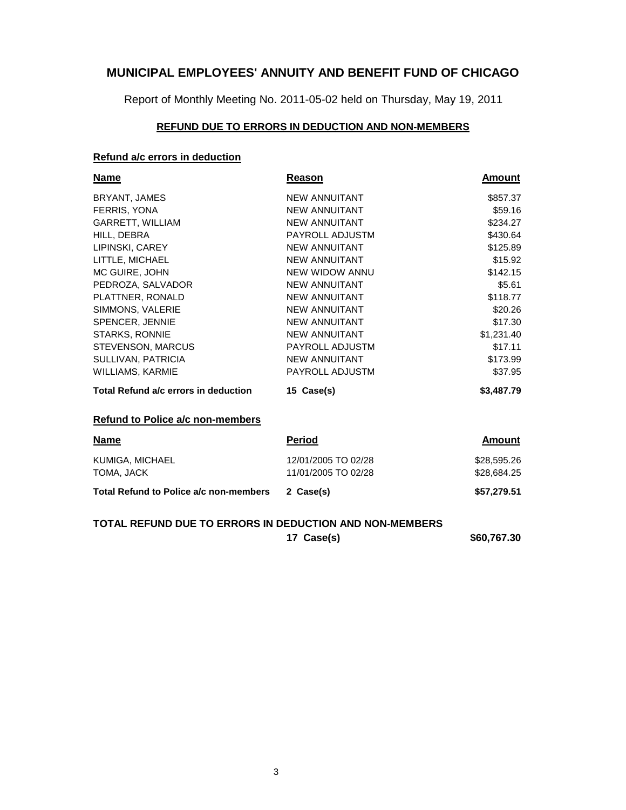Report of Monthly Meeting No. 2011-05-02 held on Thursday, May 19, 2011

### **REFUND DUE TO ERRORS IN DEDUCTION AND NON-MEMBERS**

### **Refund a/c errors in deduction**

| Name                                    | Reason               | <b>Amount</b> |
|-----------------------------------------|----------------------|---------------|
| <b>BRYANT, JAMES</b>                    | <b>NEW ANNUITANT</b> | \$857.37      |
| FERRIS, YONA                            | <b>NEW ANNUITANT</b> | \$59.16       |
| <b>GARRETT, WILLIAM</b>                 | <b>NEW ANNUITANT</b> | \$234.27      |
| HILL, DEBRA                             | PAYROLL ADJUSTM      | \$430.64      |
| LIPINSKI, CAREY                         | <b>NEW ANNUITANT</b> | \$125.89      |
| LITTLE, MICHAEL                         | <b>NEW ANNUITANT</b> | \$15.92       |
| MC GUIRE, JOHN                          | NEW WIDOW ANNU       | \$142.15      |
| PEDROZA, SALVADOR                       | <b>NEW ANNUITANT</b> | \$5.61        |
| PLATTNER, RONALD                        | <b>NEW ANNUITANT</b> | \$118.77      |
| SIMMONS, VALERIE                        | <b>NEW ANNUITANT</b> | \$20.26       |
| SPENCER, JENNIE                         | <b>NEW ANNUITANT</b> | \$17.30       |
| <b>STARKS, RONNIE</b>                   | <b>NEW ANNUITANT</b> | \$1,231.40    |
| <b>STEVENSON, MARCUS</b>                | PAYROLL ADJUSTM      | \$17.11       |
| SULLIVAN, PATRICIA                      | <b>NEW ANNUITANT</b> | \$173.99      |
| <b>WILLIAMS, KARMIE</b>                 | PAYROLL ADJUSTM      | \$37.95       |
| Total Refund a/c errors in deduction    | 15 Case(s)           | \$3,487.79    |
| <b>Refund to Police a/c non-members</b> |                      |               |
| <b>Name</b>                             | <b>Period</b>        | Amount        |
| KUMIGA, MICHAEL                         | 12/01/2005 TO 02/28  | \$28,595.26   |
| TOMA, JACK                              | 11/01/2005 TO 02/28  | \$28,684.25   |
| Total Refund to Police a/c non-members  | 2 Case(s)            | \$57,279.51   |
|                                         |                      |               |

**TOTAL REFUND DUE TO ERRORS IN DEDUCTION AND NON-MEMBERS**

**17 Case(s) \$60,767.30**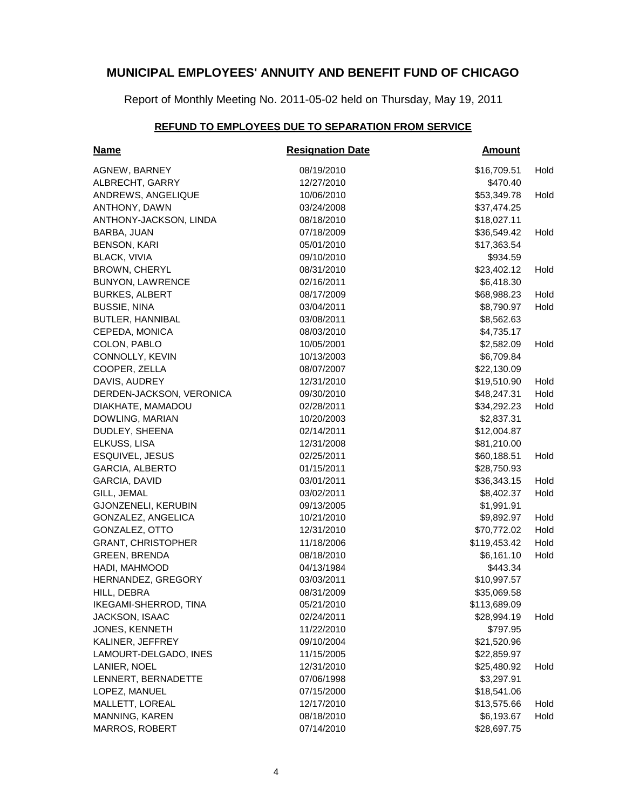Report of Monthly Meeting No. 2011-05-02 held on Thursday, May 19, 2011

### **REFUND TO EMPLOYEES DUE TO SEPARATION FROM SERVICE**

| <b>Name</b>               | <b>Resignation Date</b> | <b>Amount</b> |      |
|---------------------------|-------------------------|---------------|------|
| AGNEW, BARNEY             | 08/19/2010              | \$16,709.51   | Hold |
| ALBRECHT, GARRY           | 12/27/2010              | \$470.40      |      |
| ANDREWS, ANGELIQUE        | 10/06/2010              | \$53,349.78   | Hold |
| ANTHONY, DAWN             | 03/24/2008              | \$37,474.25   |      |
| ANTHONY-JACKSON, LINDA    | 08/18/2010              | \$18,027.11   |      |
| BARBA, JUAN               | 07/18/2009              | \$36,549.42   | Hold |
| <b>BENSON, KARI</b>       | 05/01/2010              | \$17,363.54   |      |
| <b>BLACK, VIVIA</b>       | 09/10/2010              | \$934.59      |      |
| <b>BROWN, CHERYL</b>      | 08/31/2010              | \$23,402.12   | Hold |
| <b>BUNYON, LAWRENCE</b>   | 02/16/2011              | \$6,418.30    |      |
| <b>BURKES, ALBERT</b>     | 08/17/2009              | \$68,988.23   | Hold |
| <b>BUSSIE, NINA</b>       | 03/04/2011              | \$8,790.97    | Hold |
| BUTLER, HANNIBAL          | 03/08/2011              | \$8,562.63    |      |
| CEPEDA, MONICA            | 08/03/2010              | \$4,735.17    |      |
| COLON, PABLO              | 10/05/2001              | \$2,582.09    | Hold |
| CONNOLLY, KEVIN           | 10/13/2003              | \$6,709.84    |      |
| COOPER, ZELLA             | 08/07/2007              | \$22,130.09   |      |
| DAVIS, AUDREY             | 12/31/2010              | \$19,510.90   | Hold |
| DERDEN-JACKSON, VERONICA  | 09/30/2010              | \$48,247.31   | Hold |
| DIAKHATE, MAMADOU         | 02/28/2011              | \$34,292.23   | Hold |
| DOWLING, MARIAN           | 10/20/2003              | \$2,837.31    |      |
| DUDLEY, SHEENA            | 02/14/2011              | \$12,004.87   |      |
| ELKUSS, LISA              | 12/31/2008              | \$81,210.00   |      |
| ESQUIVEL, JESUS           | 02/25/2011              | \$60,188.51   | Hold |
| <b>GARCIA, ALBERTO</b>    | 01/15/2011              | \$28,750.93   |      |
| GARCIA, DAVID             | 03/01/2011              | \$36,343.15   | Hold |
| GILL, JEMAL               | 03/02/2011              | \$8,402.37    | Hold |
| GJONZENELI, KERUBIN       | 09/13/2005              | \$1,991.91    |      |
| GONZALEZ, ANGELICA        | 10/21/2010              | \$9,892.97    | Hold |
| GONZALEZ, OTTO            | 12/31/2010              | \$70,772.02   | Hold |
| <b>GRANT, CHRISTOPHER</b> | 11/18/2006              | \$119,453.42  | Hold |
| <b>GREEN, BRENDA</b>      | 08/18/2010              | \$6,161.10    | Hold |
| HADI, MAHMOOD             | 04/13/1984              | \$443.34      |      |
| HERNANDEZ, GREGORY        | 03/03/2011              | \$10,997.57   |      |
| HILL, DEBRA               | 08/31/2009              | \$35,069.58   |      |
| IKEGAMI-SHERROD, TINA     | 05/21/2010              | \$113,689.09  |      |
| JACKSON, ISAAC            | 02/24/2011              | \$28,994.19   | Hold |
| JONES, KENNETH            | 11/22/2010              | \$797.95      |      |
| KALINER, JEFFREY          | 09/10/2004              | \$21,520.96   |      |
| LAMOURT-DELGADO, INES     | 11/15/2005              | \$22,859.97   |      |
| LANIER, NOEL              | 12/31/2010              | \$25,480.92   | Hold |
| LENNERT, BERNADETTE       | 07/06/1998              | \$3,297.91    |      |
| LOPEZ, MANUEL             | 07/15/2000              | \$18,541.06   |      |
| MALLETT, LOREAL           | 12/17/2010              | \$13,575.66   | Hold |
| MANNING, KAREN            | 08/18/2010              | \$6,193.67    | Hold |
| MARROS, ROBERT            | 07/14/2010              | \$28,697.75   |      |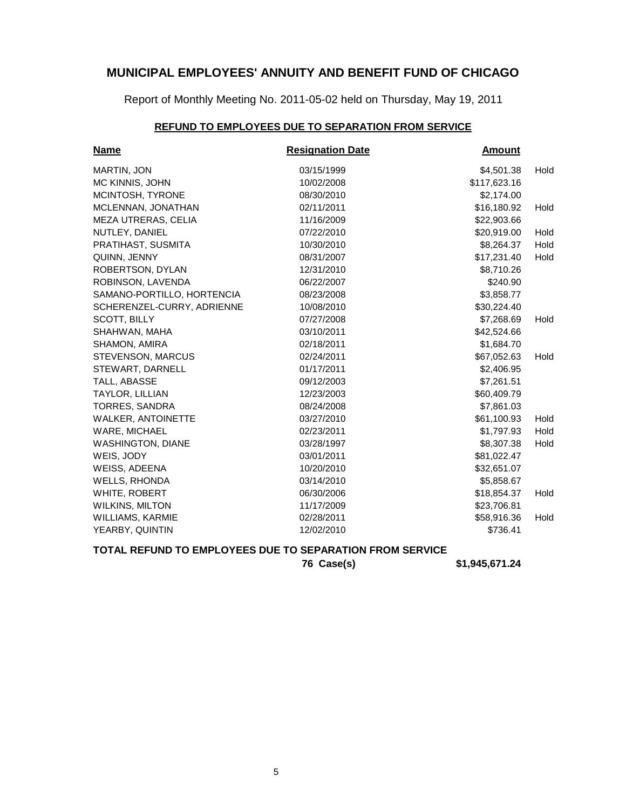Report of Monthly Meeting No. 2011-05-02 held on Thursday, May 19, 2011

### **REFUND TO EMPLOYEES DUE TO SEPARATION FROM SERVICE**

| <b>Name</b>                | <b>Resignation Date</b> | <b>Amount</b> |      |
|----------------------------|-------------------------|---------------|------|
| <b>MARTIN, JON</b>         | 03/15/1999              | \$4,501.38    | Hold |
| MC KINNIS, JOHN            | 10/02/2008              | \$117,623.16  |      |
| MCINTOSH, TYRONE           | 08/30/2010              | \$2,174.00    |      |
| MCLENNAN, JONATHAN         | 02/11/2011              | \$16,180.92   | Hold |
| MEZA UTRERAS, CELIA        | 11/16/2009              | \$22,903.66   |      |
| NUTLEY, DANIEL             | 07/22/2010              | \$20,919.00   | Hold |
| PRATIHAST, SUSMITA         | 10/30/2010              | \$8,264.37    | Hold |
| QUINN, JENNY               | 08/31/2007              | \$17,231.40   | Hold |
| ROBERTSON, DYLAN           | 12/31/2010              | \$8,710.26    |      |
| ROBINSON, LAVENDA          | 06/22/2007              | \$240.90      |      |
| SAMANO-PORTILLO, HORTENCIA | 08/23/2008              | \$3,858.77    |      |
| SCHERENZEL-CURRY, ADRIENNE | 10/08/2010              | \$30,224.40   |      |
| SCOTT, BILLY               | 07/27/2008              | \$7,268.69    | Hold |
| SHAHWAN, MAHA              | 03/10/2011              | \$42,524.66   |      |
| SHAMON, AMIRA              | 02/18/2011              | \$1,684.70    |      |
| <b>STEVENSON, MARCUS</b>   | 02/24/2011              | \$67,052.63   | Hold |
| STEWART, DARNELL           | 01/17/2011              | \$2,406.95    |      |
| TALL, ABASSE               | 09/12/2003              | \$7,261.51    |      |
| TAYLOR, LILLIAN            | 12/23/2003              | \$60,409.79   |      |
| <b>TORRES, SANDRA</b>      | 08/24/2008              | \$7,861.03    |      |
| <b>WALKER, ANTOINETTE</b>  | 03/27/2010              | \$61,100.93   | Hold |
| WARE, MICHAEL              | 02/23/2011              | \$1,797.93    | Hold |
| <b>WASHINGTON, DIANE</b>   | 03/28/1997              | \$8,307.38    | Hold |
| WEIS, JODY                 | 03/01/2011              | \$81,022.47   |      |
| WEISS, ADEENA              | 10/20/2010              | \$32,651.07   |      |
| WELLS, RHONDA              | 03/14/2010              | \$5,858.67    |      |
| WHITE, ROBERT              | 06/30/2006              | \$18,854.37   | Hold |
| <b>WILKINS, MILTON</b>     | 11/17/2009              | \$23,706.81   |      |
| WILLIAMS, KARMIE           | 02/28/2011              | \$58,916.36   | Hold |
| YEARBY, QUINTIN            | 12/02/2010              | \$736.41      |      |

### **TOTAL REFUND TO EMPLOYEES DUE TO SEPARATION FROM SERVICE**

**76 Case(s) \$1,945,671.24**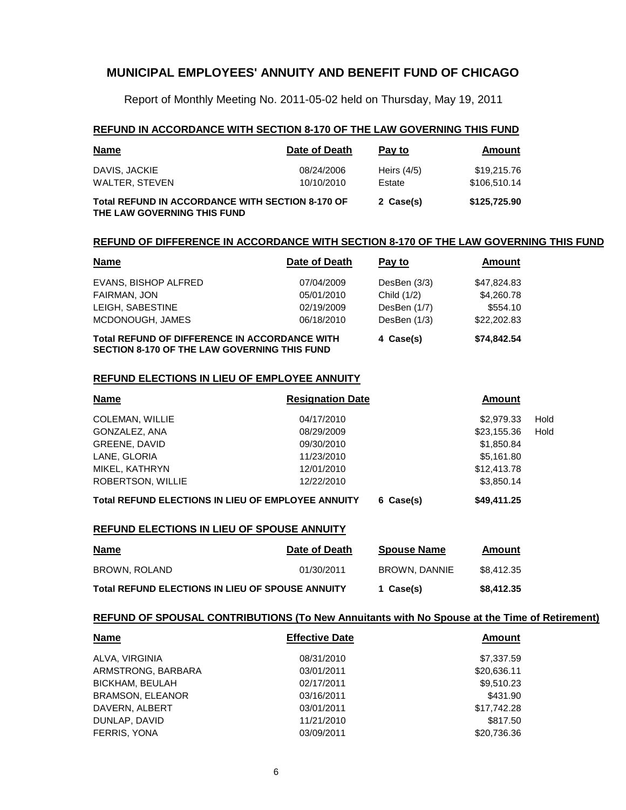Report of Monthly Meeting No. 2011-05-02 held on Thursday, May 19, 2011

#### **REFUND IN ACCORDANCE WITH SECTION 8-170 OF THE LAW GOVERNING THIS FUND**

| <b>Name</b>                                                                            | Date of Death            | Pay to                  | <b>Amount</b>               |
|----------------------------------------------------------------------------------------|--------------------------|-------------------------|-----------------------------|
| DAVIS, JACKIE<br>WALTER, STEVEN                                                        | 08/24/2006<br>10/10/2010 | Heirs $(4/5)$<br>Estate | \$19,215.76<br>\$106,510.14 |
| <b>Total REFUND IN ACCORDANCE WITH SECTION 8-170 OF</b><br>THE LAW GOVERNING THIS FUND |                          | 2 Case(s)               | \$125,725.90                |

#### **REFUND OF DIFFERENCE IN ACCORDANCE WITH SECTION 8-170 OF THE LAW GOVERNING THIS FUND**

| <b>Name</b>                                                                                   | Date of Death | Pay to       | Amount      |
|-----------------------------------------------------------------------------------------------|---------------|--------------|-------------|
| EVANS, BISHOP ALFRED                                                                          | 07/04/2009    | DesBen (3/3) | \$47,824.83 |
| FAIRMAN, JON                                                                                  | 05/01/2010    | Child (1/2)  | \$4,260.78  |
| LEIGH, SABESTINE                                                                              | 02/19/2009    | DesBen (1/7) | \$554.10    |
| MCDONOUGH, JAMES                                                                              | 06/18/2010    | DesBen (1/3) | \$22,202.83 |
| Total REFUND OF DIFFERENCE IN ACCORDANCE WITH<br>SECTION 8-170 OF THE LAW GOVERNING THIS FUND |               | 4 Case(s)    | \$74,842.54 |

# **REFUND ELECTIONS IN LIEU OF EMPLOYEE ANNUITY**

| <b>Name</b>          | <b>Resignation Date</b> | Amount      |      |
|----------------------|-------------------------|-------------|------|
| COLEMAN, WILLIE      | 04/17/2010              | \$2,979.33  | Hold |
| GONZALEZ, ANA        | 08/29/2009              | \$23,155,36 | Hold |
| <b>GREENE, DAVID</b> | 09/30/2010              | \$1,850.84  |      |
| LANE, GLORIA         | 11/23/2010              | \$5,161.80  |      |
| MIKEL, KATHRYN       | 12/01/2010              | \$12,413.78 |      |
| ROBERTSON, WILLIE    | 12/22/2010              | \$3.850.14  |      |

## **Total REFUND ELECTIONS IN LIEU OF EMPLOYEE ANNUITY 6 Case(s) \$49,411.25**

#### **REFUND ELECTIONS IN LIEU OF SPOUSE ANNUITY**

| <b>Name</b>                                             | Date of Death | <b>Spouse Name</b> | Amount     |
|---------------------------------------------------------|---------------|--------------------|------------|
| BROWN, ROLAND                                           | 01/30/2011    | BROWN, DANNIE      | \$8.412.35 |
| <b>Total REFUND ELECTIONS IN LIEU OF SPOUSE ANNUITY</b> |               | 1 Case(s)          | \$8,412.35 |

#### **REFUND OF SPOUSAL CONTRIBUTIONS (To New Annuitants with No Spouse at the Time of Retirement)**

| <b>Name</b>             | <b>Effective Date</b> | Amount      |
|-------------------------|-----------------------|-------------|
| ALVA, VIRGINIA          | 08/31/2010            | \$7,337.59  |
| ARMSTRONG, BARBARA      | 03/01/2011            | \$20,636.11 |
| <b>BICKHAM, BEULAH</b>  | 02/17/2011            | \$9,510.23  |
| <b>BRAMSON, ELEANOR</b> | 03/16/2011            | \$431.90    |
| DAVERN, ALBERT          | 03/01/2011            | \$17,742.28 |
| DUNLAP, DAVID           | 11/21/2010            | \$817.50    |
| FERRIS, YONA            | 03/09/2011            | \$20,736.36 |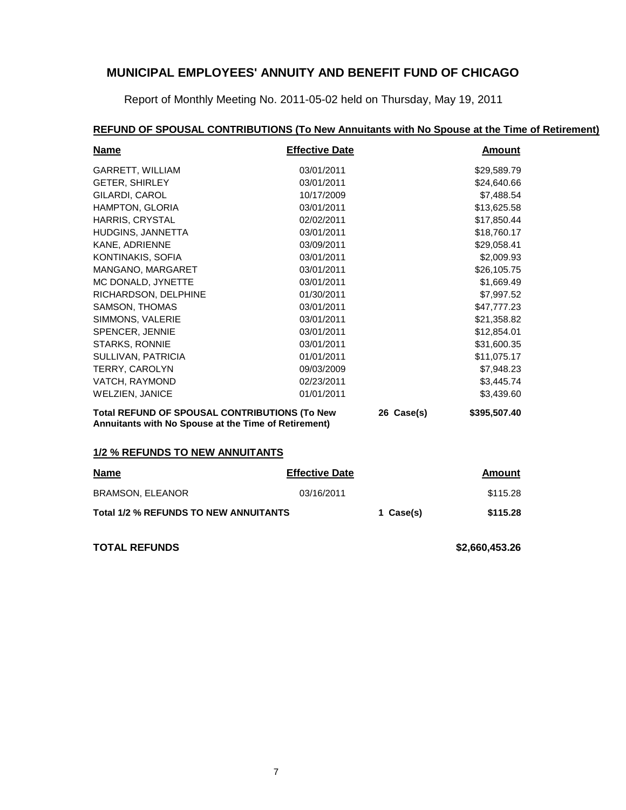Report of Monthly Meeting No. 2011-05-02 held on Thursday, May 19, 2011

### **Name Effective Date Amount** GARRETT, WILLIAM 03/01/2011 03/01/2011 \$29,589.79 GETER, SHIRLEY 03/01/2011 \$24,640.66 GILARDI, CAROL 10/17/2009 \$7,488.54 HAMPTON, GLORIA 03/01/2011 \$13,625.58 HARRIS, CRYSTAL 02/02/2011 \$17,850.44

### **REFUND OF SPOUSAL CONTRIBUTIONS (To New Annuitants with No Spouse at the Time of Retirement)**

| <b>Total REFUND OF SPOUSAL CONTRIBUTIONS (To New</b><br>Annuitants with No Spouse at the Time of Retirement) |            | 26 Case(s) | \$395,507.40 |
|--------------------------------------------------------------------------------------------------------------|------------|------------|--------------|
| <b>WELZIEN, JANICE</b>                                                                                       | 01/01/2011 |            | \$3,439.60   |
| VATCH, RAYMOND                                                                                               | 02/23/2011 |            | \$3,445.74   |
| TERRY, CAROLYN                                                                                               | 09/03/2009 |            | \$7,948.23   |
| SULLIVAN, PATRICIA                                                                                           | 01/01/2011 |            | \$11,075.17  |
| <b>STARKS, RONNIE</b>                                                                                        | 03/01/2011 |            | \$31,600.35  |
| SPENCER, JENNIE                                                                                              | 03/01/2011 |            | \$12,854.01  |
| SIMMONS, VALERIE                                                                                             | 03/01/2011 |            | \$21,358.82  |
| SAMSON, THOMAS                                                                                               | 03/01/2011 |            | \$47,777.23  |
| RICHARDSON, DELPHINE                                                                                         | 01/30/2011 |            | \$7,997.52   |
| MC DONALD, JYNETTE                                                                                           | 03/01/2011 |            | \$1,669.49   |
| MANGANO, MARGARET                                                                                            | 03/01/2011 |            | \$26,105.75  |
| KONTINAKIS, SOFIA                                                                                            | 03/01/2011 |            | \$2,009.93   |
| KANE, ADRIENNE                                                                                               | 03/09/2011 |            | \$29,058.41  |
| HUDGINS, JANNETTA                                                                                            | 03/01/2011 |            | \$18,760.17  |
| <b>HARRIS, CRYSTAL</b>                                                                                       | 02/02/2011 |            | \$17,850.44  |
| <b>HAMPTON, GLORIA</b>                                                                                       | 03/01/2011 |            | \$13,625.58  |
| GILARDI, CAROL                                                                                               | 10/17/2009 |            | \$7,488.54   |
| GETER, SHIRLEY                                                                                               | 03/01/2011 |            | \$24,640.66  |

#### **1/2 % REFUNDS TO NEW ANNUITANTS**

| <b>Name</b>                           | <b>Effective Date</b> |           | Amount   |
|---------------------------------------|-----------------------|-----------|----------|
| BRAMSON, ELEANOR                      | 03/16/2011            |           | \$115.28 |
| Total 1/2 % REFUNDS TO NEW ANNUITANTS |                       | 1 Case(s) | \$115.28 |

**TOTAL REFUNDS \$2,660,453.26**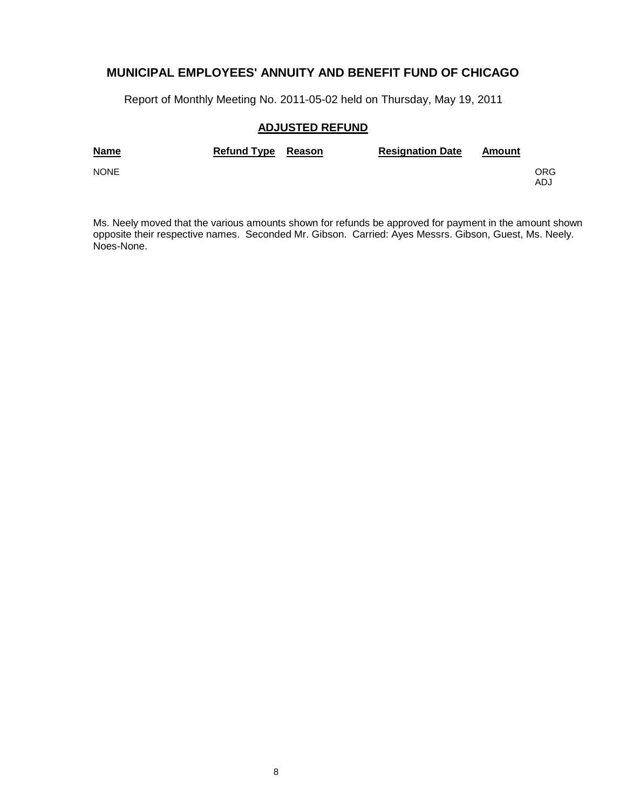Report of Monthly Meeting No. 2011-05-02 held on Thursday, May 19, 2011

### **ADJUSTED REFUND**

| <b>Name</b> | Refund Type Reason | <b>Resignation Date</b> | Amount |            |
|-------------|--------------------|-------------------------|--------|------------|
| <b>NONE</b> |                    |                         |        | ORG<br>ADJ |

Ms. Neely moved that the various amounts shown for refunds be approved for payment in the amount shown opposite their respective names. Seconded Mr. Gibson. Carried: Ayes Messrs. Gibson, Guest, Ms. Neely. Noes-None.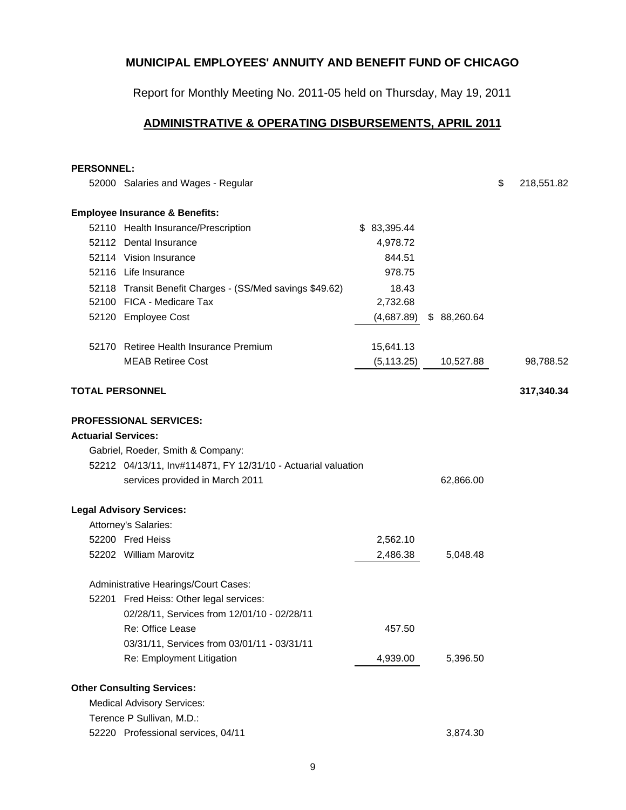[Report for Monthly Meeting No. 2011-05 held on Thursday, May 19, 2011](mailto:info@bfcoffee.com)

### **[ADMINISTRATIVE & OPERATING DISBURSEMENTS, APRIL 2011](mailto:info@bfcoffee.com)**

#### **PERSONNEL:**

|                            | 52000 Salaries and Wages - Regular                            |             |              | \$<br>218,551.82 |
|----------------------------|---------------------------------------------------------------|-------------|--------------|------------------|
|                            | <b>Employee Insurance &amp; Benefits:</b>                     |             |              |                  |
|                            | 52110 Health Insurance/Prescription                           | \$83,395.44 |              |                  |
|                            | 52112 Dental Insurance                                        | 4,978.72    |              |                  |
|                            | 52114 Vision Insurance                                        | 844.51      |              |                  |
|                            | 52116 Life Insurance                                          | 978.75      |              |                  |
|                            | 52118 Transit Benefit Charges - (SS/Med savings \$49.62)      | 18.43       |              |                  |
|                            | 52100 FICA - Medicare Tax                                     | 2,732.68    |              |                  |
|                            | 52120 Employee Cost                                           | (4,687.89)  | \$ 88,260.64 |                  |
| 52170                      | Retiree Health Insurance Premium                              | 15,641.13   |              |                  |
|                            | <b>MEAB Retiree Cost</b>                                      | (5, 113.25) | 10,527.88    | 98,788.52        |
| <b>TOTAL PERSONNEL</b>     |                                                               |             |              | 317,340.34       |
| <b>Actuarial Services:</b> | <b>PROFESSIONAL SERVICES:</b>                                 |             |              |                  |
|                            | Gabriel, Roeder, Smith & Company:                             |             |              |                  |
|                            | 52212 04/13/11, Inv#114871, FY 12/31/10 - Actuarial valuation |             |              |                  |
|                            | services provided in March 2011                               |             | 62,866.00    |                  |
|                            | <b>Legal Advisory Services:</b>                               |             |              |                  |
|                            | Attorney's Salaries:                                          |             |              |                  |
|                            | 52200 Fred Heiss                                              | 2,562.10    |              |                  |
|                            | 52202 William Marovitz                                        | 2,486.38    | 5,048.48     |                  |
|                            | Administrative Hearings/Court Cases:                          |             |              |                  |
|                            | 52201 Fred Heiss: Other legal services:                       |             |              |                  |
|                            | 02/28/11, Services from 12/01/10 - 02/28/11                   |             |              |                  |
|                            | Re: Office Lease                                              | 457.50      |              |                  |
|                            | 03/31/11, Services from 03/01/11 - 03/31/11                   |             |              |                  |
|                            | Re: Employment Litigation                                     | 4,939.00    | 5,396.50     |                  |
|                            | <b>Other Consulting Services:</b>                             |             |              |                  |
|                            | <b>Medical Advisory Services:</b>                             |             |              |                  |
|                            | Terence P Sullivan, M.D.:                                     |             |              |                  |
|                            | 52220 Professional services, 04/11                            |             | 3,874.30     |                  |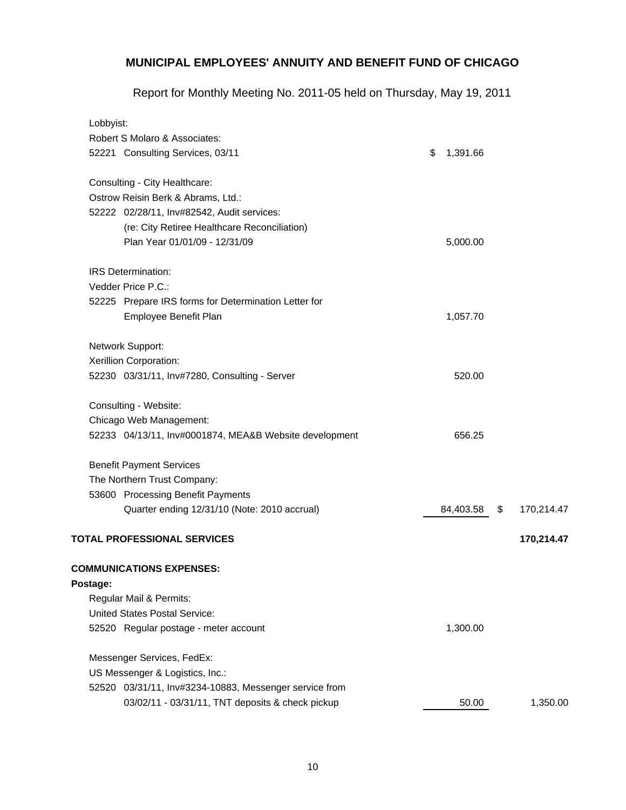| Lobbyist: |                                                        |                |                  |
|-----------|--------------------------------------------------------|----------------|------------------|
|           | Robert S Molaro & Associates:                          |                |                  |
|           | 52221 Consulting Services, 03/11                       | \$<br>1,391.66 |                  |
|           | Consulting - City Healthcare:                          |                |                  |
|           | Ostrow Reisin Berk & Abrams, Ltd.:                     |                |                  |
|           | 52222 02/28/11, Inv#82542, Audit services:             |                |                  |
|           | (re: City Retiree Healthcare Reconciliation)           |                |                  |
|           | Plan Year 01/01/09 - 12/31/09                          | 5,000.00       |                  |
|           | <b>IRS</b> Determination:                              |                |                  |
|           | Vedder Price P.C.:                                     |                |                  |
|           | 52225 Prepare IRS forms for Determination Letter for   |                |                  |
|           | Employee Benefit Plan                                  | 1,057.70       |                  |
|           | Network Support:                                       |                |                  |
|           | Xerillion Corporation:                                 |                |                  |
|           | 52230 03/31/11, Inv#7280, Consulting - Server          | 520.00         |                  |
|           | Consulting - Website:                                  |                |                  |
|           | Chicago Web Management:                                |                |                  |
|           | 52233 04/13/11, Inv#0001874, MEA&B Website development | 656.25         |                  |
|           | <b>Benefit Payment Services</b>                        |                |                  |
|           | The Northern Trust Company:                            |                |                  |
|           | 53600 Processing Benefit Payments                      |                |                  |
|           | Quarter ending 12/31/10 (Note: 2010 accrual)           | 84,403.58      | \$<br>170,214.47 |
|           | <b>TOTAL PROFESSIONAL SERVICES</b>                     |                | 170,214.47       |
|           | <b>COMMUNICATIONS EXPENSES:</b>                        |                |                  |
| Postage:  |                                                        |                |                  |
|           | Regular Mail & Permits:                                |                |                  |
|           | <b>United States Postal Service:</b>                   |                |                  |
|           | 52520 Regular postage - meter account                  | 1,300.00       |                  |
|           | Messenger Services, FedEx:                             |                |                  |
|           | US Messenger & Logistics, Inc.:                        |                |                  |
|           | 52520 03/31/11, Inv#3234-10883, Messenger service from |                |                  |
|           | 03/02/11 - 03/31/11, TNT deposits & check pickup       | 50.00          | 1,350.00         |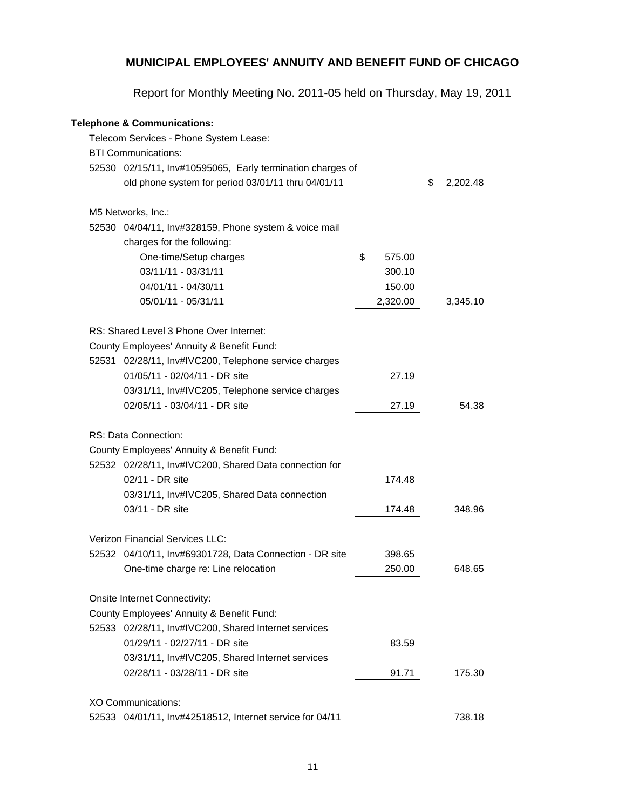Report for Monthly Meeting No. 2011-05 held on Thursday, May 19, 2011

# **Telephone & Communications:** Telecom Services - Phone System Lease: BTI Communications: 52530 02/15/11, Inv#10595065, Early termination charges of old phone system for period  $03/01/11$  thru  $04/01/11$   $\qquad$   $\qquad$  2,202.48 M5 Networks, Inc.: 52530 04/04/11, Inv#328159, Phone system & voice mail charges for the following: One-time/Setup charges  $$575.00$ 03/11/11 - 03/31/11 [300.10](mailto:info@bfcoffee.com) 04/01/11 - 04/30/11 [150.00](mailto:info@bfcoffee.com) 05/01/11 - 05/31/11 [2,320.00](mailto:info@bfcoffee.com) 3,345.10 RS: Shared Level 3 Phone Over Internet: County Employees' Annuity & Benefit Fund: 52531 02/28/11, Inv#IVC200, Telephone service charges 01/05/11 - 02/04/11 - DR site 27.19 03/31/11, Inv#IVC205, Telephone service charges 02/05/11 - 03/04/11 - DR site 27.19 54.38 RS: Data Connection: County Employees' Annuity & Benefit Fund: 52532 02/28/11, Inv#IVC200, Shared Data connection for 02/11 - DR site 174.48 03/31/11, Inv#IVC205, Shared Data connection 03/11 - DR site 348.96 Verizon Financial Services LLC: 52532 04/10/11, Inv#69301728, Data Connection - DR site [398.65](mailto:info@bfcoffee.com) One-time charge re: Line relocation 250.00 648.65 Onsite Internet Connectivity: County Employees' Annuity & Benefit Fund: 52533 02/28/11, Inv#IVC200, Shared Internet services 01/29/11 - 02/27/11 - DR site 83.59 03/31/11, Inv#IVC205, Shared Internet services 02/28/11 - 03/28/11 - DR site 91.71 175.30 XO Communications: 52533 04/01/11, Inv#42518512, Internet service for 04/11 [738.18](mailto:info@bfcoffee.com)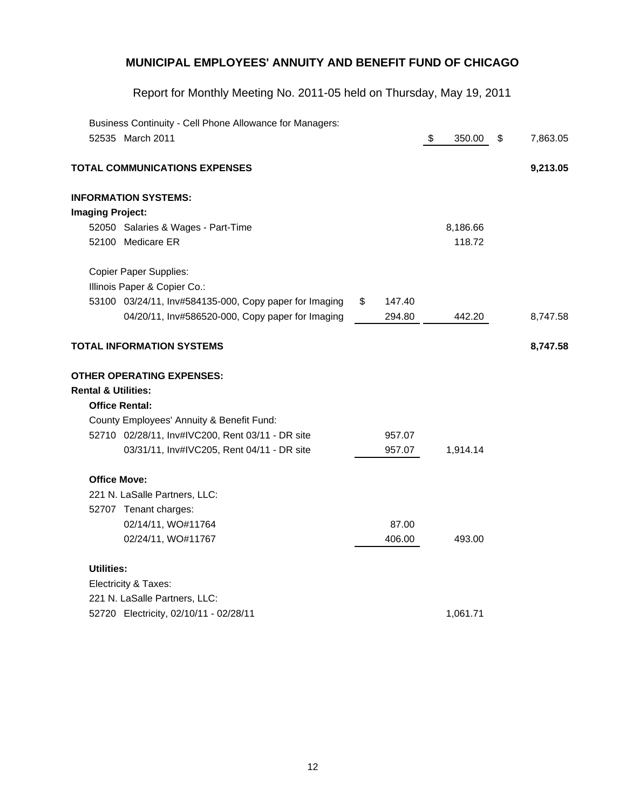|                                | Business Continuity - Cell Phone Allowance for Managers: |              |              |                |
|--------------------------------|----------------------------------------------------------|--------------|--------------|----------------|
|                                | 52535 March 2011                                         |              | \$<br>350.00 | \$<br>7,863.05 |
|                                | <b>TOTAL COMMUNICATIONS EXPENSES</b>                     |              |              | 9,213.05       |
|                                | <b>INFORMATION SYSTEMS:</b>                              |              |              |                |
| <b>Imaging Project:</b>        |                                                          |              |              |                |
|                                | 52050 Salaries & Wages - Part-Time                       |              | 8,186.66     |                |
|                                | 52100 Medicare ER                                        |              | 118.72       |                |
|                                | <b>Copier Paper Supplies:</b>                            |              |              |                |
|                                | Illinois Paper & Copier Co.:                             |              |              |                |
|                                | 53100 03/24/11, Inv#584135-000, Copy paper for Imaging   | \$<br>147.40 |              |                |
|                                | 04/20/11, Inv#586520-000, Copy paper for Imaging         | 294.80       | 442.20       | 8,747.58       |
|                                | <b>TOTAL INFORMATION SYSTEMS</b>                         |              |              | 8,747.58       |
|                                | <b>OTHER OPERATING EXPENSES:</b>                         |              |              |                |
| <b>Rental &amp; Utilities:</b> |                                                          |              |              |                |
|                                | <b>Office Rental:</b>                                    |              |              |                |
|                                | County Employees' Annuity & Benefit Fund:                |              |              |                |
|                                | 52710 02/28/11, Inv#IVC200, Rent 03/11 - DR site         | 957.07       |              |                |
|                                | 03/31/11, Inv#IVC205, Rent 04/11 - DR site               | 957.07       | 1,914.14     |                |
|                                | <b>Office Move:</b>                                      |              |              |                |
|                                | 221 N. LaSalle Partners, LLC:                            |              |              |                |
|                                | 52707 Tenant charges:                                    |              |              |                |
|                                | 02/14/11, WO#11764                                       | 87.00        |              |                |
|                                | 02/24/11, WO#11767                                       | 406.00       | 493.00       |                |
| <b>Utilities:</b>              |                                                          |              |              |                |
|                                | Electricity & Taxes:                                     |              |              |                |
|                                | 221 N. LaSalle Partners, LLC:                            |              |              |                |
|                                | 52720 Electricity, 02/10/11 - 02/28/11                   |              | 1,061.71     |                |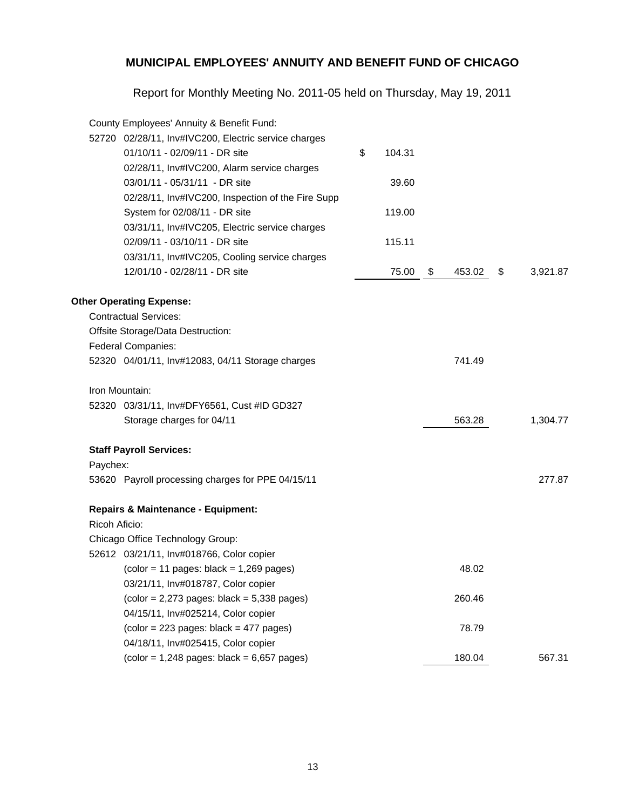|               | County Employees' Annuity & Benefit Fund:                                      |              |              |                |
|---------------|--------------------------------------------------------------------------------|--------------|--------------|----------------|
|               | 52720 02/28/11, Inv#IVC200, Electric service charges                           |              |              |                |
|               | 01/10/11 - 02/09/11 - DR site                                                  | \$<br>104.31 |              |                |
|               | 02/28/11, Inv#IVC200, Alarm service charges                                    |              |              |                |
|               | 03/01/11 - 05/31/11 - DR site                                                  | 39.60        |              |                |
|               | 02/28/11, Inv#IVC200, Inspection of the Fire Supp                              |              |              |                |
|               | System for 02/08/11 - DR site                                                  | 119.00       |              |                |
|               | 03/31/11, Inv#IVC205, Electric service charges                                 |              |              |                |
|               | 02/09/11 - 03/10/11 - DR site                                                  | 115.11       |              |                |
|               | 03/31/11, Inv#IVC205, Cooling service charges                                  |              |              |                |
|               | 12/01/10 - 02/28/11 - DR site                                                  | 75.00        | \$<br>453.02 | \$<br>3,921.87 |
|               | <b>Other Operating Expense:</b>                                                |              |              |                |
|               | <b>Contractual Services:</b>                                                   |              |              |                |
|               | Offsite Storage/Data Destruction:                                              |              |              |                |
|               | <b>Federal Companies:</b>                                                      |              |              |                |
|               | 52320 04/01/11, Inv#12083, 04/11 Storage charges                               |              | 741.49       |                |
|               | Iron Mountain:                                                                 |              |              |                |
|               | 52320 03/31/11, Inv#DFY6561, Cust #ID GD327                                    |              |              |                |
|               | Storage charges for 04/11                                                      |              | 563.28       | 1,304.77       |
|               | <b>Staff Payroll Services:</b>                                                 |              |              |                |
| Paychex:      |                                                                                |              |              |                |
|               | 53620 Payroll processing charges for PPE 04/15/11                              |              |              | 277.87         |
|               | <b>Repairs &amp; Maintenance - Equipment:</b>                                  |              |              |                |
| Ricoh Aficio: |                                                                                |              |              |                |
|               | Chicago Office Technology Group:                                               |              |              |                |
|               | 52612 03/21/11, Inv#018766, Color copier                                       |              |              |                |
|               | $\left(\text{color} = 11 \text{ pages: black} = 1,269 \text{ pages}\right)$    |              | 48.02        |                |
|               | 03/21/11, Inv#018787, Color copier                                             |              |              |                |
|               | $\left(\text{color} = 2,273 \text{ pages: black} = 5,338 \text{ pages}\right)$ |              | 260.46       |                |
|               | 04/15/11, Inv#025214, Color copier                                             |              |              |                |
|               | $\left(\text{color} = 223 \text{ pages: black} = 477 \text{ pages}\right)$     |              | 78.79        |                |
|               | 04/18/11, Inv#025415, Color copier                                             |              |              |                |
|               | $\left(\text{color} = 1,248 \text{ pages: black} = 6,657 \text{ pages}\right)$ |              | 180.04       | 567.31         |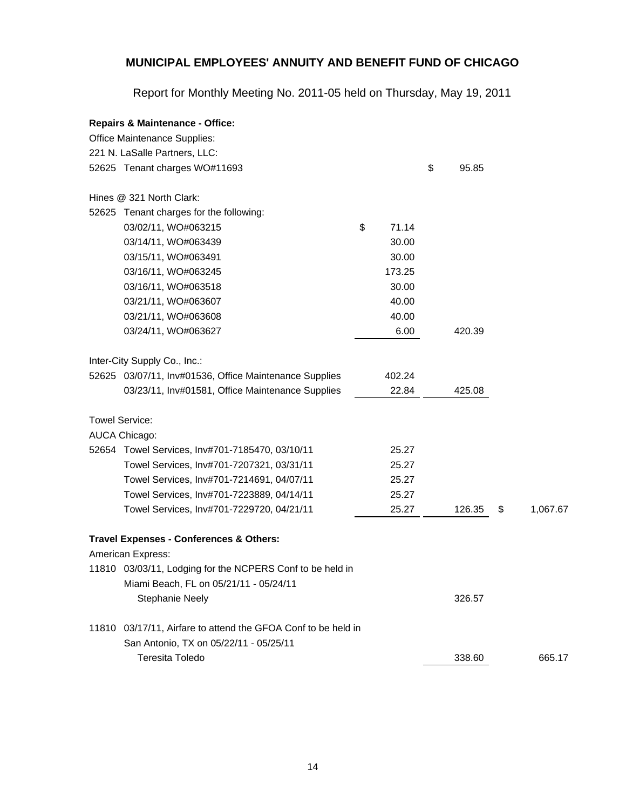|       | <b>Repairs &amp; Maintenance - Office:</b>                |             |             |                |
|-------|-----------------------------------------------------------|-------------|-------------|----------------|
|       | Office Maintenance Supplies:                              |             |             |                |
|       | 221 N. LaSalle Partners, LLC:                             |             |             |                |
|       | 52625 Tenant charges WO#11693                             |             | \$<br>95.85 |                |
|       | Hines @ 321 North Clark:                                  |             |             |                |
|       | 52625 Tenant charges for the following:                   |             |             |                |
|       | 03/02/11, WO#063215                                       | \$<br>71.14 |             |                |
|       | 03/14/11, WO#063439                                       | 30.00       |             |                |
|       | 03/15/11, WO#063491                                       | 30.00       |             |                |
|       | 03/16/11, WO#063245                                       | 173.25      |             |                |
|       | 03/16/11, WO#063518                                       | 30.00       |             |                |
|       | 03/21/11, WO#063607                                       | 40.00       |             |                |
|       | 03/21/11, WO#063608                                       | 40.00       |             |                |
|       | 03/24/11, WO#063627                                       | 6.00        | 420.39      |                |
|       | Inter-City Supply Co., Inc.:                              |             |             |                |
|       | 52625 03/07/11, Inv#01536, Office Maintenance Supplies    | 402.24      |             |                |
|       | 03/23/11, Inv#01581, Office Maintenance Supplies          | 22.84       | 425.08      |                |
|       | <b>Towel Service:</b>                                     |             |             |                |
|       | <b>AUCA Chicago:</b>                                      |             |             |                |
|       | 52654 Towel Services, Inv#701-7185470, 03/10/11           | 25.27       |             |                |
|       | Towel Services, Inv#701-7207321, 03/31/11                 | 25.27       |             |                |
|       | Towel Services, Inv#701-7214691, 04/07/11                 | 25.27       |             |                |
|       | Towel Services, Inv#701-7223889, 04/14/11                 | 25.27       |             |                |
|       | Towel Services, Inv#701-7229720, 04/21/11                 | 25.27       | 126.35      | \$<br>1,067.67 |
|       | Travel Expenses - Conferences & Others:                   |             |             |                |
|       | American Express:                                         |             |             |                |
|       | 11810 03/03/11, Lodging for the NCPERS Conf to be held in |             |             |                |
|       | Miami Beach, FL on 05/21/11 - 05/24/11                    |             |             |                |
|       | <b>Stephanie Neely</b>                                    |             | 326.57      |                |
| 11810 | 03/17/11, Airfare to attend the GFOA Conf to be held in   |             |             |                |
|       | San Antonio, TX on 05/22/11 - 05/25/11                    |             |             |                |
|       | Teresita Toledo                                           |             | 338.60      | 665.17         |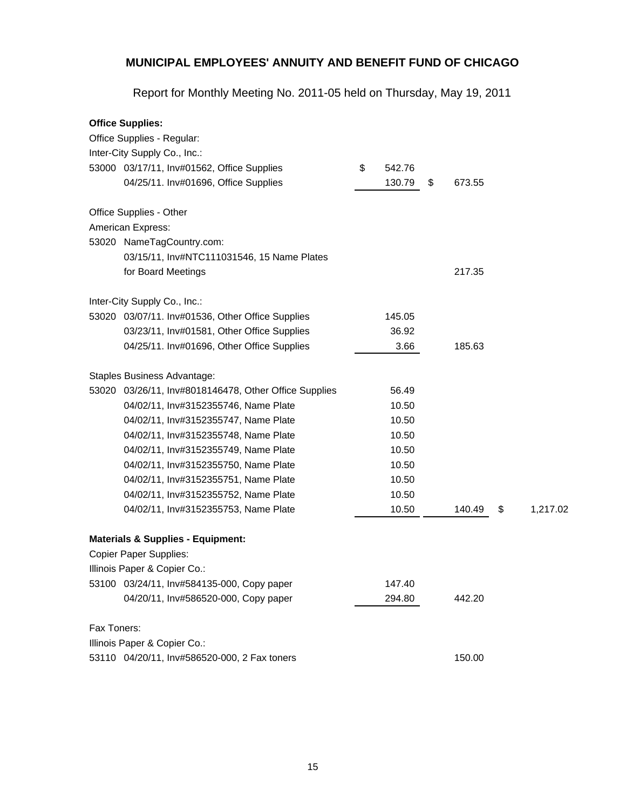|             | <b>Office Supplies:</b>                               |              |              |                |
|-------------|-------------------------------------------------------|--------------|--------------|----------------|
|             | Office Supplies - Regular:                            |              |              |                |
|             | Inter-City Supply Co., Inc.:                          |              |              |                |
|             | 53000 03/17/11, Inv#01562, Office Supplies            | \$<br>542.76 |              |                |
|             | 04/25/11. Inv#01696, Office Supplies                  | 130.79       | \$<br>673.55 |                |
|             | Office Supplies - Other                               |              |              |                |
|             | American Express:                                     |              |              |                |
|             | 53020 NameTagCountry.com:                             |              |              |                |
|             | 03/15/11, Inv#NTC111031546, 15 Name Plates            |              |              |                |
|             | for Board Meetings                                    |              | 217.35       |                |
|             | Inter-City Supply Co., Inc.:                          |              |              |                |
|             | 53020 03/07/11. Inv#01536, Other Office Supplies      | 145.05       |              |                |
|             | 03/23/11, Inv#01581, Other Office Supplies            | 36.92        |              |                |
|             | 04/25/11. Inv#01696, Other Office Supplies            | 3.66         | 185.63       |                |
|             | <b>Staples Business Advantage:</b>                    |              |              |                |
|             | 53020 03/26/11, Inv#8018146478, Other Office Supplies | 56.49        |              |                |
|             | 04/02/11, Inv#3152355746, Name Plate                  | 10.50        |              |                |
|             | 04/02/11, Inv#3152355747, Name Plate                  | 10.50        |              |                |
|             | 04/02/11, Inv#3152355748, Name Plate                  | 10.50        |              |                |
|             | 04/02/11, Inv#3152355749, Name Plate                  | 10.50        |              |                |
|             | 04/02/11, Inv#3152355750, Name Plate                  | 10.50        |              |                |
|             | 04/02/11, Inv#3152355751, Name Plate                  | 10.50        |              |                |
|             | 04/02/11, Inv#3152355752, Name Plate                  | 10.50        |              |                |
|             | 04/02/11, Inv#3152355753, Name Plate                  | 10.50        | 140.49       | \$<br>1,217.02 |
|             | <b>Materials &amp; Supplies - Equipment:</b>          |              |              |                |
|             | <b>Copier Paper Supplies:</b>                         |              |              |                |
|             | Illinois Paper & Copier Co.:                          |              |              |                |
|             | 53100 03/24/11, Inv#584135-000, Copy paper            | 147.40       |              |                |
|             | 04/20/11, Inv#586520-000, Copy paper                  | 294.80       | 442.20       |                |
| Fax Toners: |                                                       |              |              |                |
|             | Illinois Paper & Copier Co.:                          |              |              |                |
|             | 53110 04/20/11, Inv#586520-000, 2 Fax toners          |              | 150.00       |                |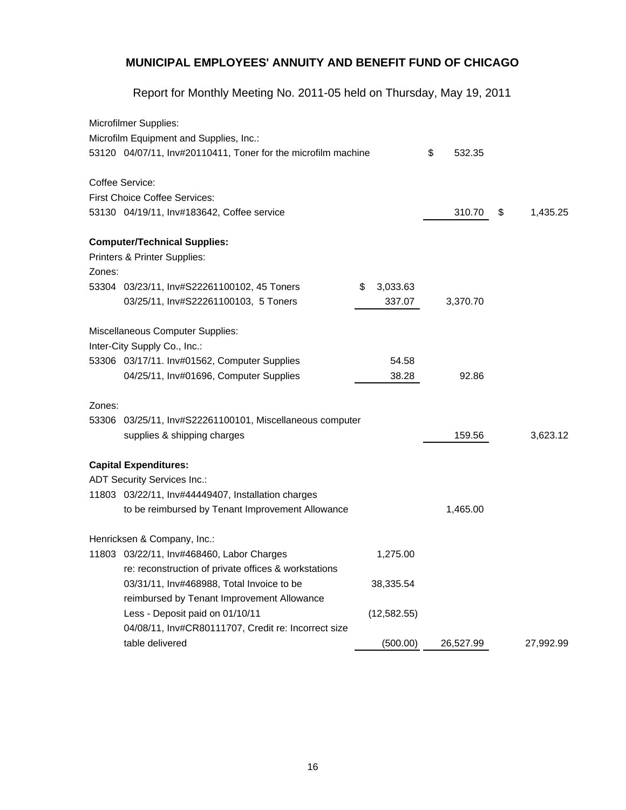|        | Microfilmer Supplies:                                         |                |              |                |
|--------|---------------------------------------------------------------|----------------|--------------|----------------|
|        | Microfilm Equipment and Supplies, Inc.:                       |                |              |                |
|        | 53120 04/07/11, Inv#20110411, Toner for the microfilm machine |                | \$<br>532.35 |                |
|        | Coffee Service:                                               |                |              |                |
|        | <b>First Choice Coffee Services:</b>                          |                |              |                |
|        | 53130 04/19/11, Inv#183642, Coffee service                    |                | 310.70       | \$<br>1,435.25 |
|        | <b>Computer/Technical Supplies:</b>                           |                |              |                |
|        | Printers & Printer Supplies:                                  |                |              |                |
| Zones: |                                                               |                |              |                |
|        | 53304 03/23/11, Inv#S22261100102, 45 Toners                   | \$<br>3,033.63 |              |                |
|        | 03/25/11, Inv#S22261100103, 5 Toners                          | 337.07         | 3,370.70     |                |
|        | Miscellaneous Computer Supplies:                              |                |              |                |
|        | Inter-City Supply Co., Inc.:                                  |                |              |                |
|        | 53306 03/17/11. Inv#01562, Computer Supplies                  | 54.58          |              |                |
|        | 04/25/11, Inv#01696, Computer Supplies                        | 38.28          | 92.86        |                |
| Zones: |                                                               |                |              |                |
|        | 53306 03/25/11, Inv#S22261100101, Miscellaneous computer      |                |              |                |
|        | supplies & shipping charges                                   |                | 159.56       | 3,623.12       |
|        | <b>Capital Expenditures:</b>                                  |                |              |                |
|        | <b>ADT Security Services Inc.:</b>                            |                |              |                |
|        | 11803 03/22/11, Inv#44449407, Installation charges            |                |              |                |
|        | to be reimbursed by Tenant Improvement Allowance              |                | 1,465.00     |                |
|        | Henricksen & Company, Inc.:                                   |                |              |                |
|        | 11803 03/22/11, Inv#468460, Labor Charges                     | 1,275.00       |              |                |
|        | re: reconstruction of private offices & workstations          |                |              |                |
|        | 03/31/11, Inv#468988, Total Invoice to be                     | 38,335.54      |              |                |
|        | reimbursed by Tenant Improvement Allowance                    |                |              |                |
|        | Less - Deposit paid on 01/10/11                               | (12, 582.55)   |              |                |
|        | 04/08/11, Inv#CR80111707, Credit re: Incorrect size           |                |              |                |
|        | table delivered                                               | (500.00)       | 26,527.99    | 27,992.99      |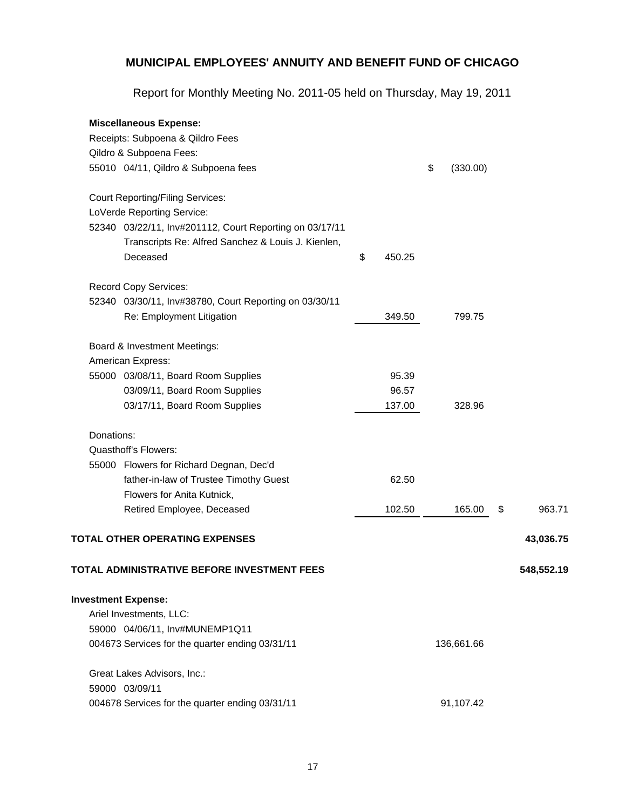|            | <b>Miscellaneous Expense:</b>                           |              |                |              |
|------------|---------------------------------------------------------|--------------|----------------|--------------|
|            | Receipts: Subpoena & Qildro Fees                        |              |                |              |
|            | Qildro & Subpoena Fees:                                 |              |                |              |
|            | 55010 04/11, Qildro & Subpoena fees                     |              | \$<br>(330.00) |              |
|            | <b>Court Reporting/Filing Services:</b>                 |              |                |              |
|            | LoVerde Reporting Service:                              |              |                |              |
|            | 52340 03/22/11, Inv#201112, Court Reporting on 03/17/11 |              |                |              |
|            | Transcripts Re: Alfred Sanchez & Louis J. Kienlen,      |              |                |              |
|            | Deceased                                                | \$<br>450.25 |                |              |
|            | Record Copy Services:                                   |              |                |              |
|            | 52340 03/30/11, Inv#38780, Court Reporting on 03/30/11  |              |                |              |
|            | Re: Employment Litigation                               | 349.50       | 799.75         |              |
|            | Board & Investment Meetings:                            |              |                |              |
|            | American Express:                                       |              |                |              |
|            | 55000 03/08/11, Board Room Supplies                     | 95.39        |                |              |
|            | 03/09/11, Board Room Supplies                           | 96.57        |                |              |
|            | 03/17/11, Board Room Supplies                           | 137.00       | 328.96         |              |
| Donations: |                                                         |              |                |              |
|            | <b>Quasthoff's Flowers:</b>                             |              |                |              |
|            | 55000 Flowers for Richard Degnan, Dec'd                 |              |                |              |
|            | father-in-law of Trustee Timothy Guest                  | 62.50        |                |              |
|            | Flowers for Anita Kutnick,                              |              |                |              |
|            | Retired Employee, Deceased                              | 102.50       | 165.00         | \$<br>963.71 |
|            | TOTAL OTHER OPERATING EXPENSES                          |              |                | 43,036.75    |
|            | TOTAL ADMINISTRATIVE BEFORE INVESTMENT FEES             |              |                | 548,552.19   |
|            | <b>Investment Expense:</b>                              |              |                |              |
|            | Ariel Investments, LLC:                                 |              |                |              |
|            | 59000 04/06/11, Inv#MUNEMP1Q11                          |              |                |              |
|            | 004673 Services for the quarter ending 03/31/11         |              | 136,661.66     |              |
|            | Great Lakes Advisors, Inc.:                             |              |                |              |
|            | 59000 03/09/11                                          |              |                |              |
|            | 004678 Services for the quarter ending 03/31/11         |              | 91,107.42      |              |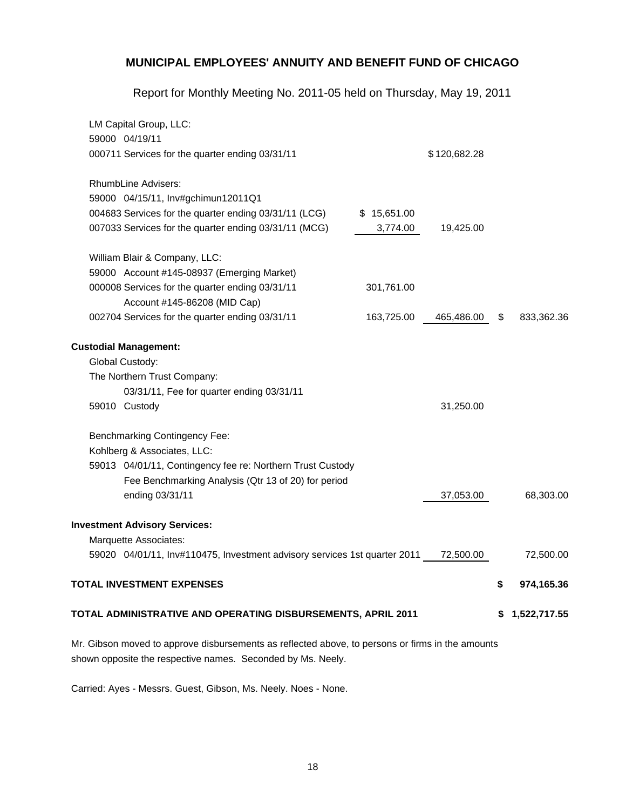### Report for Monthly Meeting No. 2011-05 held on Thursday, May 19, 2011

| LM Capital Group, LLC:                                                    |             |              |    |              |
|---------------------------------------------------------------------------|-------------|--------------|----|--------------|
| 59000 04/19/11                                                            |             |              |    |              |
| 000711 Services for the quarter ending 03/31/11                           |             | \$120,682.28 |    |              |
| <b>RhumbLine Advisers:</b>                                                |             |              |    |              |
| 59000 04/15/11, Inv#gchimun12011Q1                                        |             |              |    |              |
| 004683 Services for the quarter ending 03/31/11 (LCG)                     | \$15,651.00 |              |    |              |
| 007033 Services for the quarter ending 03/31/11 (MCG)                     | 3,774.00    | 19,425.00    |    |              |
| William Blair & Company, LLC:                                             |             |              |    |              |
| 59000 Account #145-08937 (Emerging Market)                                |             |              |    |              |
| 000008 Services for the quarter ending 03/31/11                           | 301,761.00  |              |    |              |
| Account #145-86208 (MID Cap)                                              |             |              |    |              |
| 002704 Services for the quarter ending 03/31/11                           | 163,725.00  | 465,486.00   | \$ | 833,362.36   |
| <b>Custodial Management:</b>                                              |             |              |    |              |
| Global Custody:                                                           |             |              |    |              |
| The Northern Trust Company:                                               |             |              |    |              |
| 03/31/11, Fee for quarter ending 03/31/11                                 |             |              |    |              |
| 59010 Custody                                                             |             | 31,250.00    |    |              |
| <b>Benchmarking Contingency Fee:</b>                                      |             |              |    |              |
| Kohlberg & Associates, LLC:                                               |             |              |    |              |
| 59013 04/01/11, Contingency fee re: Northern Trust Custody                |             |              |    |              |
| Fee Benchmarking Analysis (Qtr 13 of 20) for period                       |             |              |    |              |
| ending 03/31/11                                                           |             | 37,053.00    |    | 68,303.00    |
| <b>Investment Advisory Services:</b>                                      |             |              |    |              |
| Marquette Associates:                                                     |             |              |    |              |
| 59020 04/01/11, Inv#110475, Investment advisory services 1st quarter 2011 |             | 72,500.00    |    | 72,500.00    |
| TOTAL INVESTMENT EXPENSES                                                 |             |              | \$ | 974,165.36   |
| TOTAL ADMINISTRATIVE AND OPERATING DISBURSEMENTS, APRIL 2011              |             |              | S  | 1,522,717.55 |
|                                                                           |             |              |    |              |

Mr. Gibson moved to approve disbursements as reflected above, [to](mailto:info@bfcoffee.com) persons or fir[ms](mailto:info@bfcoffee.com) in the amou[nts](mailto:info@bfcoffee.com) shown opposite the respective names. Seconded by Ms. Neely.

Carried: Ayes - Messrs. Guest, Gibson, Ms. Neely. Noes - None.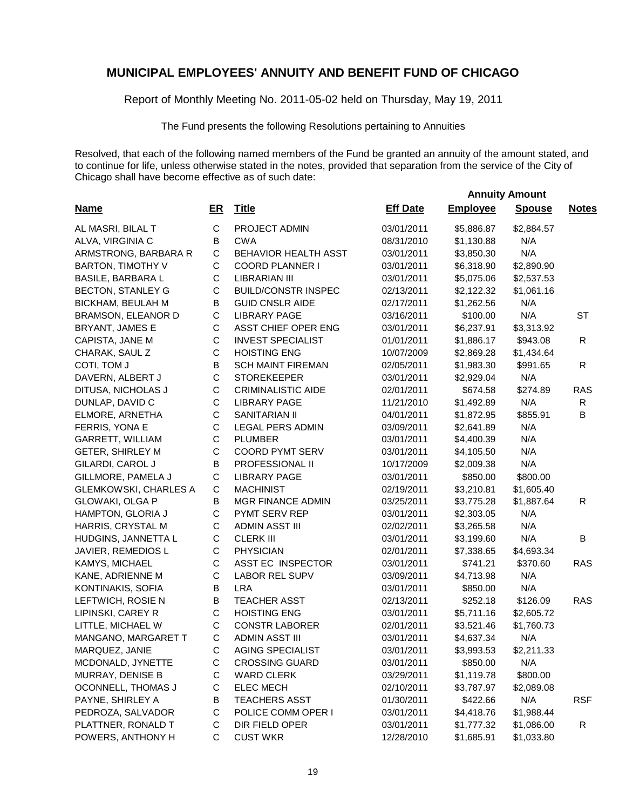Report of Monthly Meeting No. 2011-05-02 held on Thursday, May 19, 2011

The Fund presents the following Resolutions pertaining to Annuities

Resolved, that each of the following named members of the Fund be granted an annuity of the amount stated, and to continue for life, unless otherwise stated in the notes, provided that separation from the service of the City of Chicago shall have become effective as of such date:

 **Annuity Amount**

| <b>Name</b>                  | $E$ R       | <b>Title</b>               | <b>Eff Date</b> | <b>Employee</b> | <b>Spouse</b> | <b>Notes</b> |
|------------------------------|-------------|----------------------------|-----------------|-----------------|---------------|--------------|
| AL MASRI, BILAL T            | C           | PROJECT ADMIN              | 03/01/2011      | \$5,886.87      | \$2,884.57    |              |
| ALVA, VIRGINIA C             | В           | <b>CWA</b>                 | 08/31/2010      | \$1,130.88      | N/A           |              |
| ARMSTRONG, BARBARA R         | $\mathsf C$ | BEHAVIOR HEALTH ASST       | 03/01/2011      | \$3,850.30      | N/A           |              |
| <b>BARTON, TIMOTHY V</b>     | С           | <b>COORD PLANNER I</b>     | 03/01/2011      | \$6,318.90      | \$2,890.90    |              |
| <b>BASILE, BARBARA L</b>     | $\mathbf C$ | <b>LIBRARIAN III</b>       | 03/01/2011      | \$5,075.06      | \$2,537.53    |              |
| <b>BECTON, STANLEY G</b>     | $\mathsf C$ | <b>BUILD/CONSTR INSPEC</b> | 02/13/2011      | \$2,122.32      | \$1,061.16    |              |
| <b>BICKHAM, BEULAH M</b>     | В           | <b>GUID CNSLR AIDE</b>     | 02/17/2011      | \$1,262.56      | N/A           |              |
| BRAMSON, ELEANOR D           | $\mathsf C$ | <b>LIBRARY PAGE</b>        | 03/16/2011      | \$100.00        | N/A           | <b>ST</b>    |
| <b>BRYANT, JAMES E</b>       | $\mathsf C$ | ASST CHIEF OPER ENG        | 03/01/2011      | \$6,237.91      | \$3,313.92    |              |
| CAPISTA, JANE M              | $\mathsf C$ | <b>INVEST SPECIALIST</b>   | 01/01/2011      | \$1,886.17      | \$943.08      | R            |
| CHARAK, SAUL Z               | $\mathsf C$ | <b>HOISTING ENG</b>        | 10/07/2009      | \$2,869.28      | \$1,434.64    |              |
| COTI, TOM J                  | B           | <b>SCH MAINT FIREMAN</b>   | 02/05/2011      | \$1,983.30      | \$991.65      | R            |
| DAVERN, ALBERT J             | $\mathsf C$ | <b>STOREKEEPER</b>         | 03/01/2011      | \$2,929.04      | N/A           |              |
| DITUSA, NICHOLAS J           | $\mathsf C$ | <b>CRIMINALISTIC AIDE</b>  | 02/01/2011      | \$674.58        | \$274.89      | <b>RAS</b>   |
| DUNLAP, DAVID C              | $\mathsf C$ | <b>LIBRARY PAGE</b>        | 11/21/2010      | \$1,492.89      | N/A           | $\mathsf{R}$ |
| ELMORE, ARNETHA              | С           | SANITARIAN II              | 04/01/2011      | \$1,872.95      | \$855.91      | B            |
| FERRIS, YONA E               | C           | <b>LEGAL PERS ADMIN</b>    | 03/09/2011      | \$2,641.89      | N/A           |              |
| <b>GARRETT, WILLIAM</b>      | C           | <b>PLUMBER</b>             | 03/01/2011      | \$4,400.39      | N/A           |              |
| <b>GETER, SHIRLEY M</b>      | C           | <b>COORD PYMT SERV</b>     | 03/01/2011      | \$4,105.50      | N/A           |              |
| GILARDI, CAROL J             | B           | PROFESSIONAL II            | 10/17/2009      | \$2,009.38      | N/A           |              |
| GILLMORE, PAMELA J           | $\mathsf C$ | <b>LIBRARY PAGE</b>        | 03/01/2011      | \$850.00        | \$800.00      |              |
| <b>GLEMKOWSKI, CHARLES A</b> | C           | <b>MACHINIST</b>           | 02/19/2011      | \$3,210.81      | \$1,605.40    |              |
| GLOWAKI, OLGA P              | B           | MGR FINANCE ADMIN          | 03/25/2011      | \$3,775.28      | \$1,887.64    | R            |
| HAMPTON, GLORIA J            | C           | PYMT SERV REP              | 03/01/2011      | \$2,303.05      | N/A           |              |
| HARRIS, CRYSTAL M            | C           | <b>ADMIN ASST III</b>      | 02/02/2011      | \$3,265.58      | N/A           |              |
| HUDGINS, JANNETTA L          | C           | <b>CLERK III</b>           | 03/01/2011      | \$3,199.60      | N/A           | B            |
| JAVIER, REMEDIOS L           | C           | <b>PHYSICIAN</b>           | 02/01/2011      | \$7,338.65      | \$4,693.34    |              |
| KAMYS, MICHAEL               | C           | ASST EC INSPECTOR          | 03/01/2011      | \$741.21        | \$370.60      | <b>RAS</b>   |
| KANE, ADRIENNE M             | C           | LABOR REL SUPV             | 03/09/2011      | \$4,713.98      | N/A           |              |
| KONTINAKIS, SOFIA            | B           | <b>LRA</b>                 | 03/01/2011      | \$850.00        | N/A           |              |
| LEFTWICH, ROSIE N            | B           | <b>TEACHER ASST</b>        | 02/13/2011      | \$252.18        | \$126.09      | <b>RAS</b>   |
| LIPINSKI, CAREY R            | C           | <b>HOISTING ENG</b>        | 03/01/2011      | \$5,711.16      | \$2,605.72    |              |
| LITTLE, MICHAEL W            | C           | <b>CONSTR LABORER</b>      | 02/01/2011      | \$3,521.46      | \$1,760.73    |              |
| MANGANO, MARGARET T          | $\mathsf C$ | <b>ADMIN ASST III</b>      | 03/01/2011      | \$4,637.34      | N/A           |              |
| MARQUEZ, JANIE               | C           | <b>AGING SPECIALIST</b>    | 03/01/2011      | \$3,993.53      | \$2,211.33    |              |
| MCDONALD, JYNETTE            | С           | <b>CROSSING GUARD</b>      | 03/01/2011      | \$850.00        | N/A           |              |
| MURRAY, DENISE B             | С           | <b>WARD CLERK</b>          | 03/29/2011      | \$1,119.78      | \$800.00      |              |
| OCONNELL, THOMAS J           | С           | <b>ELEC MECH</b>           | 02/10/2011      | \$3,787.97      | \$2,089.08    |              |
| PAYNE, SHIRLEY A             | B           | <b>TEACHERS ASST</b>       | 01/30/2011      | \$422.66        | N/A           | <b>RSF</b>   |
| PEDROZA, SALVADOR            | C           | POLICE COMM OPER I         | 03/01/2011      | \$4,418.76      | \$1,988.44    |              |
| PLATTNER, RONALD T           | С           | DIR FIELD OPER             | 03/01/2011      | \$1,777.32      | \$1,086.00    | $\mathsf{R}$ |
| POWERS, ANTHONY H            | С           | <b>CUST WKR</b>            | 12/28/2010      | \$1,685.91      | \$1,033.80    |              |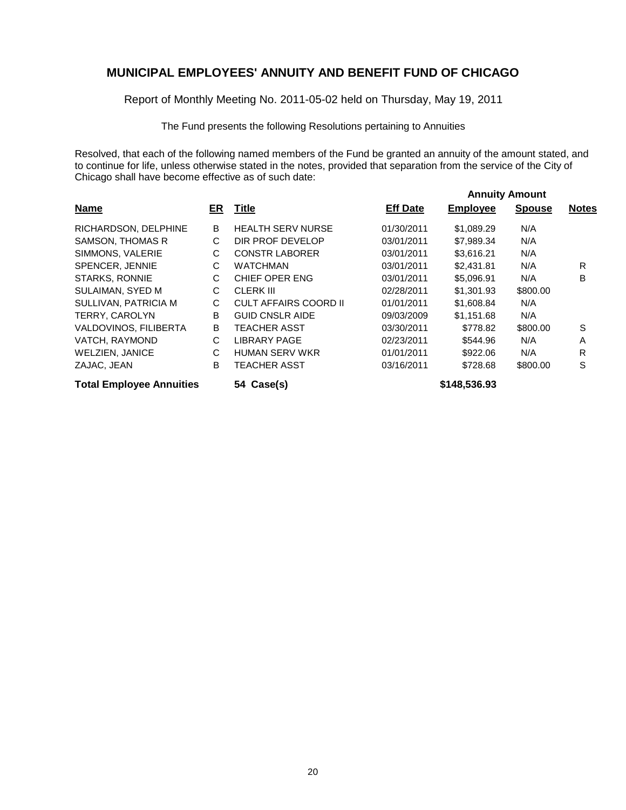Report of Monthly Meeting No. 2011-05-02 held on Thursday, May 19, 2011

The Fund presents the following Resolutions pertaining to Annuities

Resolved, that each of the following named members of the Fund be granted an annuity of the amount stated, and to continue for life, unless otherwise stated in the notes, provided that separation from the service of the City of Chicago shall have become effective as of such date:

| <b>Name</b>                     | ER. | <b>Title</b>                 | <b>Eff Date</b> | <b>Employee</b> | <b>Spouse</b> | <b>Notes</b> |  |
|---------------------------------|-----|------------------------------|-----------------|-----------------|---------------|--------------|--|
| RICHARDSON, DELPHINE            | B   | <b>HEALTH SERV NURSE</b>     | 01/30/2011      | \$1,089.29      | N/A           |              |  |
| SAMSON, THOMAS R                | C   | DIR PROF DEVELOP             | 03/01/2011      | \$7,989.34      | N/A           |              |  |
| SIMMONS, VALERIE                | C   | <b>CONSTR LABORER</b>        | 03/01/2011      | \$3,616.21      | N/A           |              |  |
| SPENCER, JENNIE                 | C   | <b>WATCHMAN</b>              | 03/01/2011      | \$2,431.81      | N/A           | R            |  |
| STARKS, RONNIE                  | C   | CHIEF OPER ENG               | 03/01/2011      | \$5,096.91      | N/A           | B            |  |
| SULAIMAN, SYED M                | C   | <b>CLERK III</b>             | 02/28/2011      | \$1,301.93      | \$800.00      |              |  |
| SULLIVAN, PATRICIA M            | C   | <b>CULT AFFAIRS COORD II</b> | 01/01/2011      | \$1,608.84      | N/A           |              |  |
| TERRY, CAROLYN                  | B   | <b>GUID CNSLR AIDE</b>       | 09/03/2009      | \$1,151.68      | N/A           |              |  |
| VALDOVINOS, FILIBERTA           | B   | <b>TEACHER ASST</b>          | 03/30/2011      | \$778.82        | \$800.00      | S            |  |
| VATCH, RAYMOND                  | C   | LIBRARY PAGE                 | 02/23/2011      | \$544.96        | N/A           | A            |  |
| <b>WELZIEN, JANICE</b>          | C   | <b>HUMAN SERV WKR</b>        | 01/01/2011      | \$922.06        | N/A           | R            |  |
| ZAJAC, JEAN                     | B   | <b>TEACHER ASST</b>          | 03/16/2011      | \$728.68        | \$800.00      | S            |  |
| <b>Total Employee Annuities</b> |     | 54 Case(s)                   |                 | \$148,536.93    |               |              |  |

 **Annuity Amount**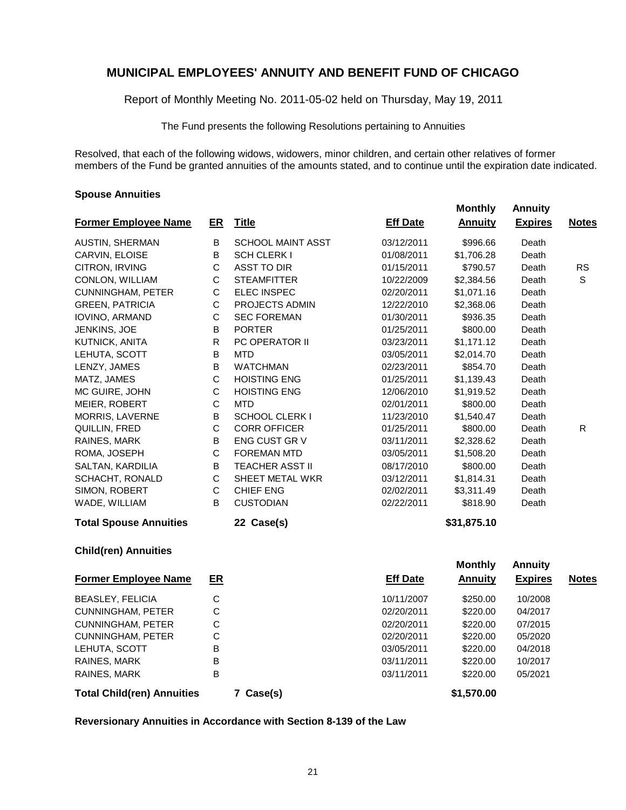Report of Monthly Meeting No. 2011-05-02 held on Thursday, May 19, 2011

The Fund presents the following Resolutions pertaining to Annuities

Resolved, that each of the following widows, widowers, minor children, and certain other relatives of former members of the Fund be granted annuities of the amounts stated, and to continue until the expiration date indicated.

 **Monthly Annuity**

#### **Spouse Annuities**

|                               |              |                          |                 | <b>IVIUIILII</b> y | Alliuly        |              |
|-------------------------------|--------------|--------------------------|-----------------|--------------------|----------------|--------------|
| <b>Former Employee Name</b>   | ER           | <b>Title</b>             | <b>Eff Date</b> | <b>Annuity</b>     | <b>Expires</b> | <b>Notes</b> |
| <b>AUSTIN, SHERMAN</b>        | B            | <b>SCHOOL MAINT ASST</b> | 03/12/2011      | \$996.66           | Death          |              |
| CARVIN, ELOISE                | B            | <b>SCH CLERK I</b>       | 01/08/2011      | \$1,706.28         | Death          |              |
| CITRON, IRVING                | C            | <b>ASST TO DIR</b>       | 01/15/2011      | \$790.57           | Death          | <b>RS</b>    |
| CONLON, WILLIAM               | С            | <b>STEAMFITTER</b>       | 10/22/2009      | \$2,384.56         | Death          | S            |
| <b>CUNNINGHAM, PETER</b>      | C            | <b>ELEC INSPEC</b>       | 02/20/2011      | \$1,071.16         | Death          |              |
| <b>GREEN, PATRICIA</b>        | С            | <b>PROJECTS ADMIN</b>    | 12/22/2010      | \$2,368.06         | Death          |              |
| <b>IOVINO, ARMAND</b>         | C            | <b>SEC FOREMAN</b>       | 01/30/2011      | \$936.35           | Death          |              |
| JENKINS, JOE                  | B            | <b>PORTER</b>            | 01/25/2011      | \$800.00           | Death          |              |
| KUTNICK, ANITA                | R            | PC OPERATOR II           | 03/23/2011      | \$1,171.12         | Death          |              |
| LEHUTA, SCOTT                 | В            | <b>MTD</b>               | 03/05/2011      | \$2,014.70         | Death          |              |
| LENZY, JAMES                  | B            | <b>WATCHMAN</b>          | 02/23/2011      | \$854.70           | Death          |              |
| MATZ, JAMES                   | $\mathsf C$  | <b>HOISTING ENG</b>      | 01/25/2011      | \$1,139.43         | Death          |              |
| MC GUIRE, JOHN                | $\mathsf C$  | <b>HOISTING ENG</b>      | 12/06/2010      | \$1,919.52         | Death          |              |
| MEIER, ROBERT                 | C            | <b>MTD</b>               | 02/01/2011      | \$800.00           | Death          |              |
| MORRIS, LAVERNE               | B            | <b>SCHOOL CLERK I</b>    | 11/23/2010      | \$1,540.47         | Death          |              |
| QUILLIN, FRED                 | $\mathsf{C}$ | <b>CORR OFFICER</b>      | 01/25/2011      | \$800.00           | Death          | R            |
| RAINES, MARK                  | B            | <b>ENG CUST GR V</b>     | 03/11/2011      | \$2,328.62         | Death          |              |
| ROMA, JOSEPH                  | C            | <b>FOREMAN MTD</b>       | 03/05/2011      | \$1,508.20         | Death          |              |
| SALTAN, KARDILIA              | B            | <b>TEACHER ASST II</b>   | 08/17/2010      | \$800.00           | Death          |              |
| SCHACHT, RONALD               | C            | SHEET METAL WKR          | 03/12/2011      | \$1,814.31         | Death          |              |
| SIMON, ROBERT                 | С            | <b>CHIEF ENG</b>         | 02/02/2011      | \$3,311.49         | Death          |              |
| WADE, WILLIAM                 | B            | <b>CUSTODIAN</b>         | 02/22/2011      | \$818.90           | Death          |              |
| <b>Total Spouse Annuities</b> |              | 22 Case(s)               |                 | \$31,875.10        |                |              |
| <b>Child(ren) Annuities</b>   |              |                          |                 |                    |                |              |
|                               |              |                          |                 | <b>Monthly</b>     | <b>Annuity</b> |              |
| Earmar Emplayee Name          | сп           |                          | $Eff$ Data      | A                  | Evelves        | <b>Natas</b> |

| <b>Former Employee Name</b>       | <u>ER</u> | <b>Eff Date</b> | Annuitv    | <b>Expires</b> | <b>Notes</b> |
|-----------------------------------|-----------|-----------------|------------|----------------|--------------|
| <b>BEASLEY, FELICIA</b>           | C         | 10/11/2007      | \$250.00   | 10/2008        |              |
| <b>CUNNINGHAM, PETER</b>          | C         | 02/20/2011      | \$220.00   | 04/2017        |              |
| <b>CUNNINGHAM, PETER</b>          | C         | 02/20/2011      | \$220.00   | 07/2015        |              |
| <b>CUNNINGHAM, PETER</b>          | С         | 02/20/2011      | \$220.00   | 05/2020        |              |
| LEHUTA, SCOTT                     | B         | 03/05/2011      | \$220.00   | 04/2018        |              |
| RAINES, MARK                      | B         | 03/11/2011      | \$220.00   | 10/2017        |              |
| RAINES, MARK                      | B         | 03/11/2011      | \$220.00   | 05/2021        |              |
| <b>Total Child(ren) Annuities</b> | Case(s)   |                 | \$1,570.00 |                |              |

**Reversionary Annuities in Accordance with Section 8-139 of the Law**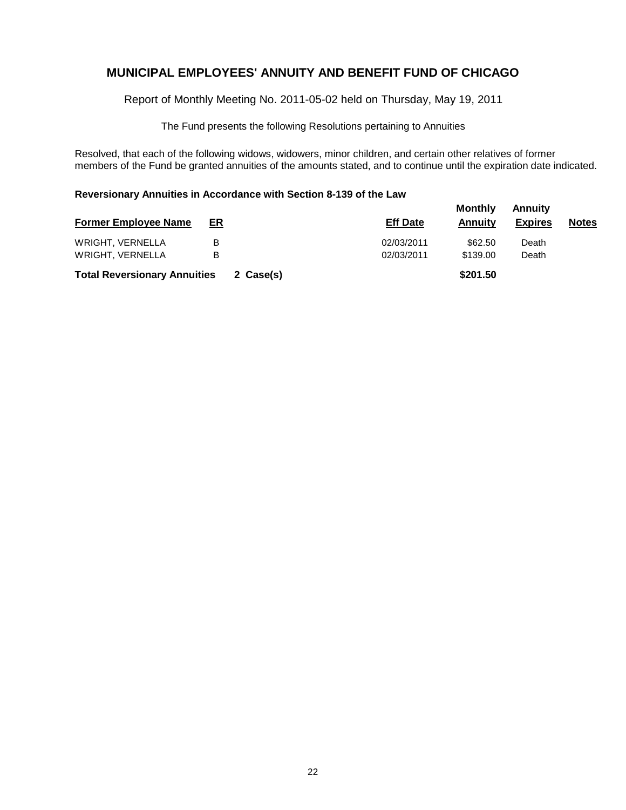Report of Monthly Meeting No. 2011-05-02 held on Thursday, May 19, 2011

The Fund presents the following Resolutions pertaining to Annuities

Resolved, that each of the following widows, widowers, minor children, and certain other relatives of former members of the Fund be granted annuities of the amounts stated, and to continue until the expiration date indicated.

#### **Reversionary Annuities in Accordance with Section 8-139 of the Law**

|                                     |           |           |                 | Monthly  | Annuitv        |              |
|-------------------------------------|-----------|-----------|-----------------|----------|----------------|--------------|
| <b>Former Employee Name</b>         | <u>ER</u> |           | <b>Eff Date</b> | Annuity  | <b>Expires</b> | <b>Notes</b> |
| WRIGHT, VERNELLA                    | в         |           | 02/03/2011      | \$62.50  | Death          |              |
| <b>WRIGHT, VERNELLA</b>             | в         |           | 02/03/2011      | \$139.00 | Death          |              |
| <b>Total Reversionary Annuities</b> |           | 2 Case(s) |                 | \$201.50 |                |              |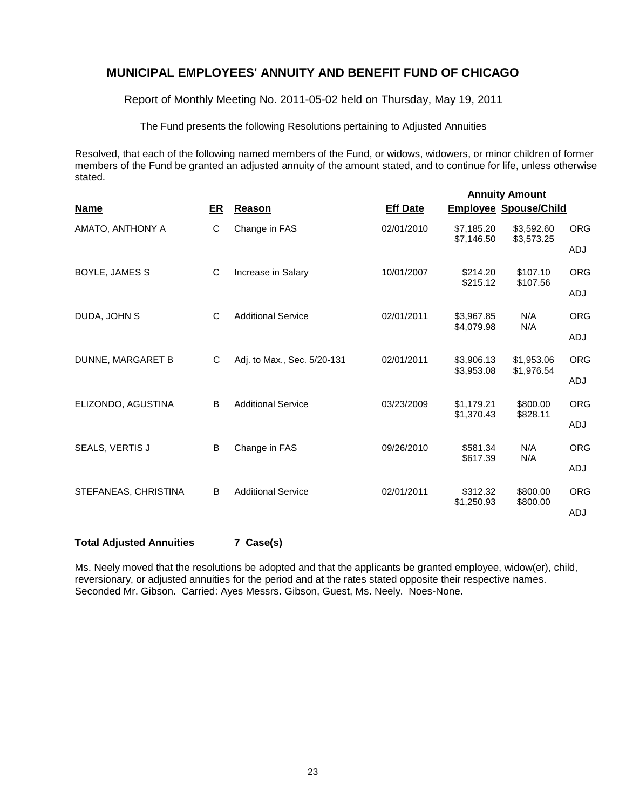Report of Monthly Meeting No. 2011-05-02 held on Thursday, May 19, 2011

The Fund presents the following Resolutions pertaining to Adjusted Annuities

Resolved, that each of the following named members of the Fund, or widows, widowers, or minor children of former members of the Fund be granted an adjusted annuity of the amount stated, and to continue for life, unless otherwise stated.

|                        |    |                             | <b>Annuity Amount</b><br><b>Employee Spouse/Child</b> |                          |                          |            |
|------------------------|----|-----------------------------|-------------------------------------------------------|--------------------------|--------------------------|------------|
| <b>Name</b>            | ER | <b>Reason</b>               | <b>Eff Date</b>                                       |                          |                          |            |
| AMATO, ANTHONY A       | C  | Change in FAS               | 02/01/2010                                            | \$7,185.20<br>\$7,146.50 | \$3,592.60<br>\$3,573.25 | <b>ORG</b> |
|                        |    |                             |                                                       |                          |                          | ADJ        |
| <b>BOYLE, JAMES S</b>  | C  | Increase in Salary          | 10/01/2007                                            | \$214.20<br>\$215.12     | \$107.10<br>\$107.56     | <b>ORG</b> |
|                        |    |                             |                                                       |                          |                          | <b>ADJ</b> |
| DUDA, JOHN S           | C  | <b>Additional Service</b>   | 02/01/2011                                            | \$3,967.85               | N/A<br>N/A               | <b>ORG</b> |
|                        |    |                             |                                                       | \$4,079.98               |                          | <b>ADJ</b> |
| DUNNE, MARGARET B      | C  | Adj. to Max., Sec. 5/20-131 | 02/01/2011                                            | \$3,906.13               | \$1,953.06               | <b>ORG</b> |
|                        |    |                             |                                                       | \$3,953.08               | \$1,976.54               | <b>ADJ</b> |
| ELIZONDO, AGUSTINA     | B  | <b>Additional Service</b>   | 03/23/2009                                            | \$1,179.21               | \$800.00                 | <b>ORG</b> |
|                        |    |                             |                                                       | \$1,370.43               | \$828.11                 | ADJ        |
| <b>SEALS, VERTIS J</b> | B  | Change in FAS               | 09/26/2010                                            | \$581.34                 | N/A                      | <b>ORG</b> |
|                        |    |                             |                                                       | \$617.39                 | N/A                      | ADJ        |
| STEFANEAS, CHRISTINA   | B  | <b>Additional Service</b>   | 02/01/2011                                            | \$312.32                 | \$800.00                 | <b>ORG</b> |
|                        |    |                             |                                                       | \$1,250.93               | \$800.00                 | ADJ        |

**Total Adjusted Annuities 7 Case(s)**

Ms. Neely moved that the resolutions be adopted and that the applicants be granted employee, widow(er), child, reversionary, or adjusted annuities for the period and at the rates stated opposite their respective names. Seconded Mr. Gibson. Carried: Ayes Messrs. Gibson, Guest, Ms. Neely. Noes-None.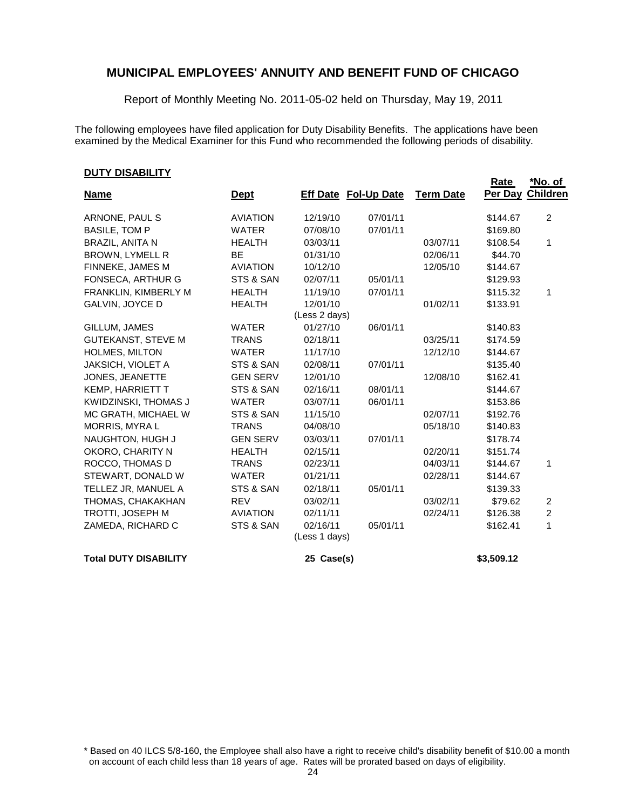Report of Monthly Meeting No. 2011-05-02 held on Thursday, May 19, 2011

The following employees have filed application for Duty Disability Benefits. The applications have been examined by the Medical Examiner for this Fund who recommended the following periods of disability.

#### **DUTY DISABILITY**

| <b>Name</b>                  | <u>Dept</u>     |                           | <b>Eff Date Fol-Up Date</b> | <b>Term Date</b> | <b>Rate</b> | <u>*No. of</u><br>Per Day Children |
|------------------------------|-----------------|---------------------------|-----------------------------|------------------|-------------|------------------------------------|
|                              |                 |                           |                             |                  |             |                                    |
| ARNONE, PAUL S               | <b>AVIATION</b> | 12/19/10                  | 07/01/11                    |                  | \$144.67    | 2                                  |
| <b>BASILE, TOM P</b>         | <b>WATER</b>    | 07/08/10                  | 07/01/11                    |                  | \$169.80    |                                    |
| BRAZIL, ANITA N              | <b>HEALTH</b>   | 03/03/11                  |                             | 03/07/11         | \$108.54    | 1                                  |
| <b>BROWN, LYMELL R</b>       | <b>BE</b>       | 01/31/10                  |                             | 02/06/11         | \$44.70     |                                    |
| FINNEKE, JAMES M             | <b>AVIATION</b> | 10/12/10                  |                             | 12/05/10         | \$144.67    |                                    |
| FONSECA, ARTHUR G            | STS & SAN       | 02/07/11                  | 05/01/11                    |                  | \$129.93    |                                    |
| FRANKLIN, KIMBERLY M         | <b>HEALTH</b>   | 11/19/10                  | 07/01/11                    |                  | \$115.32    | 1                                  |
| GALVIN, JOYCE D              | <b>HEALTH</b>   | 12/01/10                  |                             | 01/02/11         | \$133.91    |                                    |
|                              |                 | (Less 2 days)             |                             |                  |             |                                    |
| GILLUM, JAMES                | <b>WATER</b>    | 01/27/10                  | 06/01/11                    |                  | \$140.83    |                                    |
| <b>GUTEKANST, STEVE M</b>    | <b>TRANS</b>    | 02/18/11                  |                             | 03/25/11         | \$174.59    |                                    |
| <b>HOLMES, MILTON</b>        | <b>WATER</b>    | 11/17/10                  |                             | 12/12/10         | \$144.67    |                                    |
| <b>JAKSICH, VIOLET A</b>     | STS & SAN       | 02/08/11                  | 07/01/11                    |                  | \$135.40    |                                    |
| JONES, JEANETTE              | <b>GEN SERV</b> | 12/01/10                  |                             | 12/08/10         | \$162.41    |                                    |
| <b>KEMP, HARRIETT T</b>      | STS & SAN       | 02/16/11                  | 08/01/11                    |                  | \$144.67    |                                    |
| KWIDZINSKI, THOMAS J         | <b>WATER</b>    | 03/07/11                  | 06/01/11                    |                  | \$153.86    |                                    |
| MC GRATH, MICHAEL W          | STS & SAN       | 11/15/10                  |                             | 02/07/11         | \$192.76    |                                    |
| MORRIS, MYRAL                | <b>TRANS</b>    | 04/08/10                  |                             | 05/18/10         | \$140.83    |                                    |
| NAUGHTON, HUGH J             | <b>GEN SERV</b> | 03/03/11                  | 07/01/11                    |                  | \$178.74    |                                    |
| OKORO, CHARITY N             | <b>HEALTH</b>   | 02/15/11                  |                             | 02/20/11         | \$151.74    |                                    |
| ROCCO, THOMAS D              | <b>TRANS</b>    | 02/23/11                  |                             | 04/03/11         | \$144.67    | 1                                  |
| STEWART, DONALD W            | <b>WATER</b>    | 01/21/11                  |                             | 02/28/11         | \$144.67    |                                    |
| TELLEZ JR, MANUEL A          | STS & SAN       | 02/18/11                  | 05/01/11                    |                  | \$139.33    |                                    |
| THOMAS, CHAKAKHAN            | <b>REV</b>      | 03/02/11                  |                             | 03/02/11         | \$79.62     | $\overline{c}$                     |
| TROTTI, JOSEPH M             | <b>AVIATION</b> | 02/11/11                  |                             | 02/24/11         | \$126.38    | $\overline{c}$                     |
| ZAMEDA, RICHARD C            | STS & SAN       | 02/16/11<br>(Less 1 days) | 05/01/11                    |                  | \$162.41    | 1                                  |
| <b>Total DUTY DISABILITY</b> |                 | 25 Case(s)                |                             |                  | \$3,509.12  |                                    |

\* Based on 40 ILCS 5/8-160, the Employee shall also have a right to receive child's disability benefit of \$10.00 a month on account of each child less than 18 years of age. Rates will be prorated based on days of eligibility.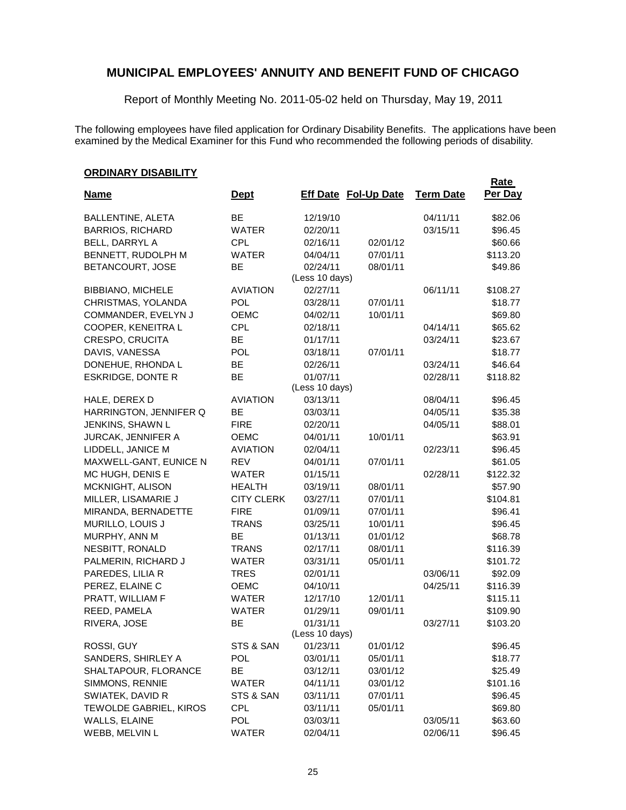Report of Monthly Meeting No. 2011-05-02 held on Thursday, May 19, 2011

The following employees have filed application for Ordinary Disability Benefits. The applications have been examined by the Medical Examiner for this Fund who recommended the following periods of disability.

### **ORDINARY DISABILITY**

| .                             |                   |                |                             |                  | Rate     |
|-------------------------------|-------------------|----------------|-----------------------------|------------------|----------|
| <u>Name</u>                   | <u>Dept</u>       |                | <b>Eff Date Fol-Up Date</b> | <b>Term Date</b> | Per Day  |
| <b>BALLENTINE, ALETA</b>      | BE                | 12/19/10       |                             | 04/11/11         | \$82.06  |
| <b>BARRIOS, RICHARD</b>       | <b>WATER</b>      | 02/20/11       |                             | 03/15/11         | \$96.45  |
| BELL, DARRYL A                | CPL               | 02/16/11       | 02/01/12                    |                  | \$60.66  |
| BENNETT, RUDOLPH M            | <b>WATER</b>      | 04/04/11       | 07/01/11                    |                  | \$113.20 |
| BETANCOURT, JOSE              | <b>BE</b>         | 02/24/11       | 08/01/11                    |                  | \$49.86  |
|                               |                   | (Less 10 days) |                             |                  |          |
| <b>BIBBIANO, MICHELE</b>      | <b>AVIATION</b>   | 02/27/11       |                             | 06/11/11         | \$108.27 |
| CHRISTMAS, YOLANDA            | <b>POL</b>        | 03/28/11       | 07/01/11                    |                  | \$18.77  |
| COMMANDER, EVELYN J           | OEMC              | 04/02/11       | 10/01/11                    |                  | \$69.80  |
| COOPER, KENEITRA L            | <b>CPL</b>        | 02/18/11       |                             | 04/14/11         | \$65.62  |
| CRESPO, CRUCITA               | <b>BE</b>         | 01/17/11       |                             | 03/24/11         | \$23.67  |
| DAVIS, VANESSA                | <b>POL</b>        | 03/18/11       | 07/01/11                    |                  | \$18.77  |
| DONEHUE, RHONDA L             | <b>BE</b>         | 02/26/11       |                             | 03/24/11         | \$46.64  |
| <b>ESKRIDGE, DONTE R</b>      | BE                | 01/07/11       |                             | 02/28/11         | \$118.82 |
|                               |                   | (Less 10 days) |                             |                  |          |
| HALE, DEREX D                 | <b>AVIATION</b>   | 03/13/11       |                             | 08/04/11         | \$96.45  |
| HARRINGTON, JENNIFER Q        | <b>BE</b>         | 03/03/11       |                             | 04/05/11         | \$35.38  |
| JENKINS, SHAWN L              | <b>FIRE</b>       | 02/20/11       |                             | 04/05/11         | \$88.01  |
| JURCAK, JENNIFER A            | <b>OEMC</b>       | 04/01/11       | 10/01/11                    |                  | \$63.91  |
| LIDDELL, JANICE M             | <b>AVIATION</b>   | 02/04/11       |                             | 02/23/11         | \$96.45  |
| MAXWELL-GANT, EUNICE N        | <b>REV</b>        | 04/01/11       | 07/01/11                    |                  | \$61.05  |
| MC HUGH, DENIS E              | <b>WATER</b>      | 01/15/11       |                             | 02/28/11         | \$122.32 |
| MCKNIGHT, ALISON              | <b>HEALTH</b>     | 03/19/11       | 08/01/11                    |                  | \$57.90  |
| MILLER, LISAMARIE J           | <b>CITY CLERK</b> | 03/27/11       | 07/01/11                    |                  | \$104.81 |
| MIRANDA, BERNADETTE           | <b>FIRE</b>       | 01/09/11       | 07/01/11                    |                  | \$96.41  |
| MURILLO, LOUIS J              | <b>TRANS</b>      | 03/25/11       | 10/01/11                    |                  | \$96.45  |
| MURPHY, ANN M                 | <b>BE</b>         | 01/13/11       | 01/01/12                    |                  | \$68.78  |
| <b>NESBITT, RONALD</b>        | <b>TRANS</b>      | 02/17/11       | 08/01/11                    |                  | \$116.39 |
| PALMERIN, RICHARD J           | WATER             | 03/31/11       | 05/01/11                    |                  | \$101.72 |
| PAREDES, LILIA R              | <b>TRES</b>       | 02/01/11       |                             | 03/06/11         | \$92.09  |
| PEREZ, ELAINE C               | OEMC              | 04/10/11       |                             | 04/25/11         | \$116.39 |
| PRATT, WILLIAM F              | WATER             | 12/17/10       | 12/01/11                    |                  | \$115.11 |
| REED, PAMELA                  | <b>WATER</b>      | 01/29/11       | 09/01/11                    |                  | \$109.90 |
| RIVERA, JOSE                  | BE                | 01/31/11       |                             | 03/27/11         | \$103.20 |
|                               |                   | (Less 10 days) |                             |                  |          |
| ROSSI, GUY                    | STS & SAN         | 01/23/11       | 01/01/12                    |                  | \$96.45  |
| SANDERS, SHIRLEY A            | <b>POL</b>        | 03/01/11       | 05/01/11                    |                  | \$18.77  |
| SHALTAPOUR, FLORANCE          | BE                | 03/12/11       | 03/01/12                    |                  | \$25.49  |
| SIMMONS, RENNIE               | WATER             | 04/11/11       | 03/01/12                    |                  | \$101.16 |
| SWIATEK, DAVID R              | STS & SAN         | 03/11/11       | 07/01/11                    |                  | \$96.45  |
| <b>TEWOLDE GABRIEL, KIROS</b> | <b>CPL</b>        | 03/11/11       | 05/01/11                    |                  | \$69.80  |
| WALLS, ELAINE                 | <b>POL</b>        | 03/03/11       |                             | 03/05/11         | \$63.60  |
| WEBB, MELVIN L                | WATER             | 02/04/11       |                             | 02/06/11         | \$96.45  |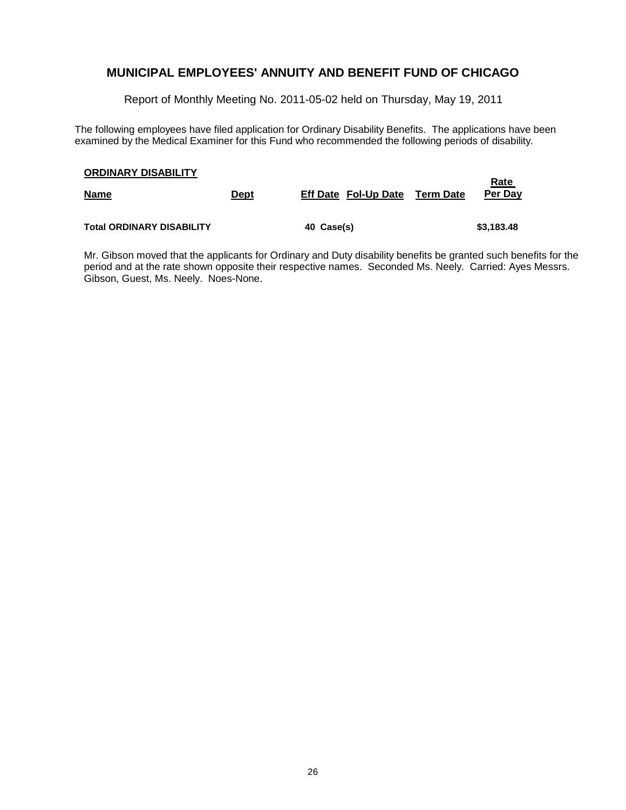Report of Monthly Meeting No. 2011-05-02 held on Thursday, May 19, 2011

The following employees have filed application for Ordinary Disability Benefits. The applications have been examined by the Medical Examiner for this Fund who recommended the following periods of disability.

| <b>ORDINARY DISABILITY</b>       |             |                             |           | <u>Rate</u> |
|----------------------------------|-------------|-----------------------------|-----------|-------------|
| <b>Name</b>                      | <b>Dept</b> | <b>Eff Date Fol-Up Date</b> | Term Date | Per Dav     |
| <b>Total ORDINARY DISABILITY</b> |             | 40 Case(s)                  |           | \$3,183.48  |

Mr. Gibson moved that the applicants for Ordinary and Duty disability benefits be granted such benefits for the period and at the rate shown opposite their respective names. Seconded Ms. Neely. Carried: Ayes Messrs. Gibson, Guest, Ms. Neely. Noes-None.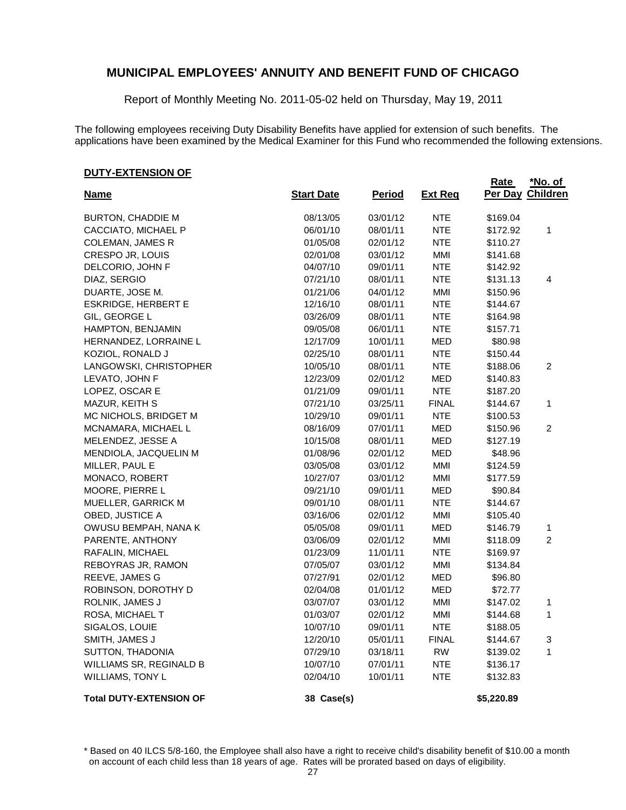Report of Monthly Meeting No. 2011-05-02 held on Thursday, May 19, 2011

The following employees receiving Duty Disability Benefits have applied for extension of such benefits. The applications have been examined by the Medical Examiner for this Fund who recommended the following extensions.

#### **DUTY-EXTENSION OF**

| <b>Name</b>                    | <b>Start Date</b> | <b>Period</b> | <b>Ext Req</b> | Rate       | <u>*No. of</u><br>Per Day Children |
|--------------------------------|-------------------|---------------|----------------|------------|------------------------------------|
| <b>BURTON, CHADDIE M</b>       | 08/13/05          | 03/01/12      | <b>NTE</b>     | \$169.04   |                                    |
| CACCIATO, MICHAEL P            | 06/01/10          | 08/01/11      | <b>NTE</b>     | \$172.92   | $\mathbf{1}$                       |
| <b>COLEMAN, JAMES R</b>        | 01/05/08          | 02/01/12      | <b>NTE</b>     | \$110.27   |                                    |
| CRESPO JR, LOUIS               | 02/01/08          | 03/01/12      | MMI            | \$141.68   |                                    |
| DELCORIO, JOHN F               | 04/07/10          | 09/01/11      | <b>NTE</b>     | \$142.92   |                                    |
| DIAZ, SERGIO                   | 07/21/10          | 08/01/11      | <b>NTE</b>     | \$131.13   | 4                                  |
| DUARTE, JOSE M.                | 01/21/06          | 04/01/12      | MMI            | \$150.96   |                                    |
| <b>ESKRIDGE, HERBERT E</b>     | 12/16/10          | 08/01/11      | <b>NTE</b>     | \$144.67   |                                    |
| GIL, GEORGE L                  | 03/26/09          | 08/01/11      | NTE            | \$164.98   |                                    |
| HAMPTON, BENJAMIN              | 09/05/08          | 06/01/11      | NTE            | \$157.71   |                                    |
| HERNANDEZ, LORRAINE L          | 12/17/09          | 10/01/11      | <b>MED</b>     | \$80.98    |                                    |
| KOZIOL, RONALD J               | 02/25/10          | 08/01/11      | <b>NTE</b>     | \$150.44   |                                    |
| LANGOWSKI, CHRISTOPHER         | 10/05/10          | 08/01/11      | <b>NTE</b>     | \$188.06   | 2                                  |
| LEVATO, JOHN F                 | 12/23/09          | 02/01/12      | MED            | \$140.83   |                                    |
| LOPEZ, OSCAR E                 | 01/21/09          | 09/01/11      | <b>NTE</b>     | \$187.20   |                                    |
| MAZUR, KEITH S                 | 07/21/10          | 03/25/11      | <b>FINAL</b>   | \$144.67   | 1                                  |
| MC NICHOLS, BRIDGET M          | 10/29/10          | 09/01/11      | <b>NTE</b>     | \$100.53   |                                    |
| MCNAMARA, MICHAEL L            | 08/16/09          | 07/01/11      | <b>MED</b>     | \$150.96   | $\overline{2}$                     |
| MELENDEZ, JESSE A              | 10/15/08          | 08/01/11      | <b>MED</b>     | \$127.19   |                                    |
| MENDIOLA, JACQUELIN M          | 01/08/96          | 02/01/12      | <b>MED</b>     | \$48.96    |                                    |
| MILLER, PAUL E                 | 03/05/08          | 03/01/12      | MMI            | \$124.59   |                                    |
| MONACO, ROBERT                 | 10/27/07          | 03/01/12      | MMI            | \$177.59   |                                    |
| MOORE, PIERRE L                | 09/21/10          | 09/01/11      | MED            | \$90.84    |                                    |
| MUELLER, GARRICK M             | 09/01/10          | 08/01/11      | <b>NTE</b>     | \$144.67   |                                    |
| OBED, JUSTICE A                | 03/16/06          | 02/01/12      | MMI            | \$105.40   |                                    |
| OWUSU BEMPAH, NANA K           | 05/05/08          | 09/01/11      | <b>MED</b>     | \$146.79   | 1                                  |
| PARENTE, ANTHONY               | 03/06/09          | 02/01/12      | MMI            | \$118.09   | $\overline{2}$                     |
| RAFALIN, MICHAEL               | 01/23/09          | 11/01/11      | <b>NTE</b>     | \$169.97   |                                    |
| REBOYRAS JR, RAMON             | 07/05/07          | 03/01/12      | MMI            | \$134.84   |                                    |
| REEVE, JAMES G                 | 07/27/91          | 02/01/12      | MED            | \$96.80    |                                    |
| ROBINSON, DOROTHY D            | 02/04/08          | 01/01/12      | <b>MED</b>     | \$72.77    |                                    |
| ROLNIK, JAMES J                | 03/07/07          | 03/01/12      | MMI            | \$147.02   | 1                                  |
| ROSA, MICHAEL T                | 01/03/07          | 02/01/12      | MMI            | \$144.68   | 1                                  |
| SIGALOS, LOUIE                 | 10/07/10          | 09/01/11      | <b>NTE</b>     | \$188.05   |                                    |
| SMITH, JAMES J                 | 12/20/10          | 05/01/11      | <b>FINAL</b>   | \$144.67   | 3                                  |
| SUTTON, THADONIA               | 07/29/10          | 03/18/11      | <b>RW</b>      | \$139.02   | 1                                  |
| WILLIAMS SR, REGINALD B        | 10/07/10          | 07/01/11      | <b>NTE</b>     | \$136.17   |                                    |
| WILLIAMS, TONY L               | 02/04/10          | 10/01/11      | <b>NTE</b>     | \$132.83   |                                    |
| <b>Total DUTY-EXTENSION OF</b> | 38 Case(s)        |               |                | \$5,220.89 |                                    |

<sup>\*</sup> Based on 40 ILCS 5/8-160, the Employee shall also have a right to receive child's disability benefit of \$10.00 a month on account of each child less than 18 years of age. Rates will be prorated based on days of eligibility.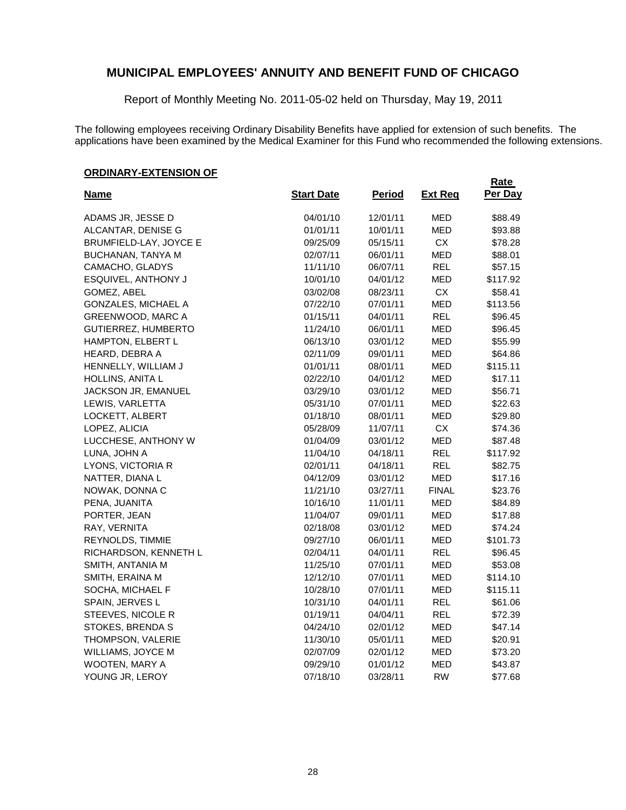Report of Monthly Meeting No. 2011-05-02 held on Thursday, May 19, 2011

The following employees receiving Ordinary Disability Benefits have applied for extension of such benefits. The applications have been examined by the Medical Examiner for this Fund who recommended the following extensions.

**Rate** 

### **ORDINARY-EXTENSION OF**

| <b>Name</b>            | <b>Start Date</b> | <b>Period</b> | <b>Ext Reg</b> | Per Day  |
|------------------------|-------------------|---------------|----------------|----------|
| ADAMS JR, JESSE D      | 04/01/10          | 12/01/11      | <b>MED</b>     | \$88.49  |
| ALCANTAR, DENISE G     | 01/01/11          | 10/01/11      | <b>MED</b>     | \$93.88  |
| BRUMFIELD-LAY, JOYCE E | 09/25/09          | 05/15/11      | CX             | \$78.28  |
| BUCHANAN, TANYA M      | 02/07/11          | 06/01/11      | <b>MED</b>     | \$88.01  |
| CAMACHO, GLADYS        | 11/11/10          | 06/07/11      | <b>REL</b>     | \$57.15  |
| ESQUIVEL, ANTHONY J    | 10/01/10          | 04/01/12      | <b>MED</b>     | \$117.92 |
| GOMEZ, ABEL            | 03/02/08          | 08/23/11      | CX             | \$58.41  |
| GONZALES, MICHAEL A    | 07/22/10          | 07/01/11      | <b>MED</b>     | \$113.56 |
| GREENWOOD, MARC A      | 01/15/11          | 04/01/11      | <b>REL</b>     | \$96.45  |
| GUTIERREZ, HUMBERTO    | 11/24/10          | 06/01/11      | <b>MED</b>     | \$96.45  |
| HAMPTON, ELBERT L      | 06/13/10          | 03/01/12      | <b>MED</b>     | \$55.99  |
| HEARD, DEBRA A         | 02/11/09          | 09/01/11      | <b>MED</b>     | \$64.86  |
| HENNELLY, WILLIAM J    | 01/01/11          | 08/01/11      | <b>MED</b>     | \$115.11 |
| HOLLINS, ANITA L       | 02/22/10          | 04/01/12      | <b>MED</b>     | \$17.11  |
| JACKSON JR, EMANUEL    | 03/29/10          | 03/01/12      | MED            | \$56.71  |
| LEWIS, VARLETTA        | 05/31/10          | 07/01/11      | <b>MED</b>     | \$22.63  |
| LOCKETT, ALBERT        | 01/18/10          | 08/01/11      | <b>MED</b>     | \$29.80  |
| LOPEZ, ALICIA          | 05/28/09          | 11/07/11      | CX             | \$74.36  |
| LUCCHESE, ANTHONY W    | 01/04/09          | 03/01/12      | <b>MED</b>     | \$87.48  |
| LUNA, JOHN A           | 11/04/10          | 04/18/11      | <b>REL</b>     | \$117.92 |
| LYONS, VICTORIA R      | 02/01/11          | 04/18/11      | <b>REL</b>     | \$82.75  |
| NATTER, DIANA L        | 04/12/09          | 03/01/12      | <b>MED</b>     | \$17.16  |
| NOWAK, DONNA C         | 11/21/10          | 03/27/11      | <b>FINAL</b>   | \$23.76  |
| PENA, JUANITA          | 10/16/10          | 11/01/11      | <b>MED</b>     | \$84.89  |
| PORTER, JEAN           | 11/04/07          | 09/01/11      | MED            | \$17.88  |
| RAY, VERNITA           | 02/18/08          | 03/01/12      | <b>MED</b>     | \$74.24  |
| REYNOLDS, TIMMIE       | 09/27/10          | 06/01/11      | <b>MED</b>     | \$101.73 |
| RICHARDSON, KENNETH L  | 02/04/11          | 04/01/11      | <b>REL</b>     | \$96.45  |
| SMITH, ANTANIA M       | 11/25/10          | 07/01/11      | <b>MED</b>     | \$53.08  |
| SMITH, ERAINA M        | 12/12/10          | 07/01/11      | <b>MED</b>     | \$114.10 |
| SOCHA, MICHAEL F       | 10/28/10          | 07/01/11      | <b>MED</b>     | \$115.11 |
| SPAIN, JERVES L        | 10/31/10          | 04/01/11      | <b>REL</b>     | \$61.06  |
| STEEVES, NICOLE R      | 01/19/11          | 04/04/11      | <b>REL</b>     | \$72.39  |
| STOKES, BRENDA S       | 04/24/10          | 02/01/12      | <b>MED</b>     | \$47.14  |
| THOMPSON, VALERIE      | 11/30/10          | 05/01/11      | <b>MED</b>     | \$20.91  |
| WILLIAMS, JOYCE M      | 02/07/09          | 02/01/12      | <b>MED</b>     | \$73.20  |
| WOOTEN, MARY A         | 09/29/10          | 01/01/12      | <b>MED</b>     | \$43.87  |
| YOUNG JR, LEROY        | 07/18/10          | 03/28/11      | <b>RW</b>      | \$77.68  |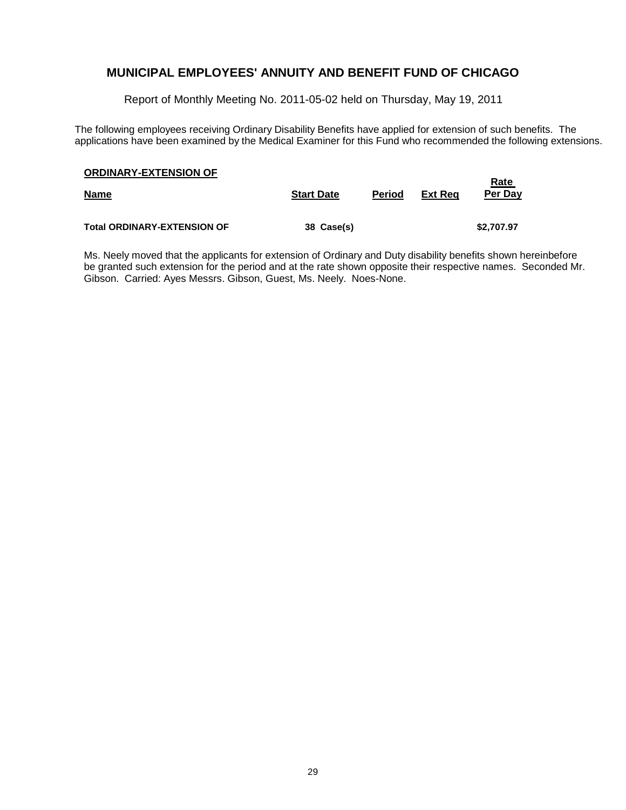Report of Monthly Meeting No. 2011-05-02 held on Thursday, May 19, 2011

The following employees receiving Ordinary Disability Benefits have applied for extension of such benefits. The applications have been examined by the Medical Examiner for this Fund who recommended the following extensions.

| <b>ORDINARY-EXTENSION OF</b><br><b>Name</b> | <b>Start Date</b> | <b>Period</b> | Ext Rea | <u>Rate</u><br>Per Day |
|---------------------------------------------|-------------------|---------------|---------|------------------------|
| <b>Total ORDINARY-EXTENSION OF</b>          | 38 Case(s)        |               |         | \$2,707.97             |

Ms. Neely moved that the applicants for extension of Ordinary and Duty disability benefits shown hereinbefore be granted such extension for the period and at the rate shown opposite their respective names. Seconded Mr. Gibson. Carried: Ayes Messrs. Gibson, Guest, Ms. Neely. Noes-None.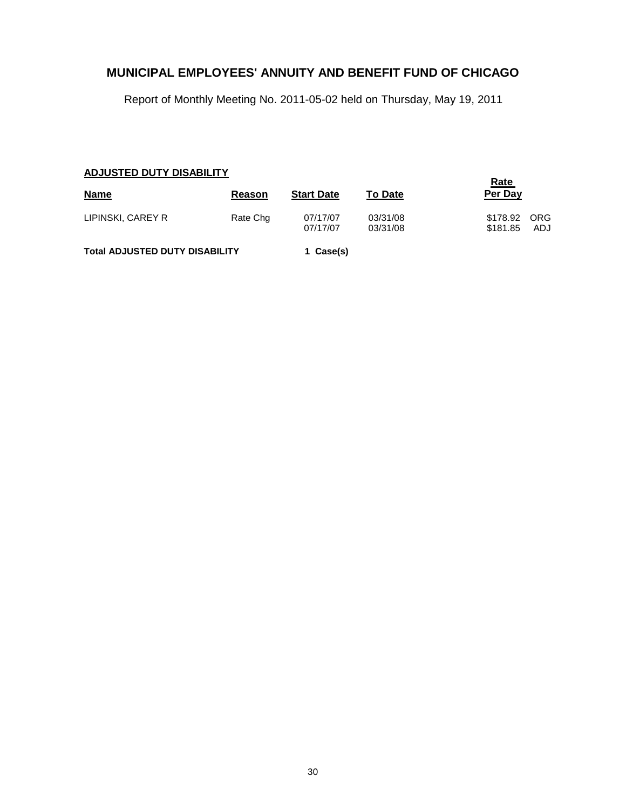Report of Monthly Meeting No. 2011-05-02 held on Thursday, May 19, 2011

### **ADJUSTED DUTY DISABILITY**

|                                       |          |                      |                      | Rate                                |  |
|---------------------------------------|----------|----------------------|----------------------|-------------------------------------|--|
| <b>Name</b>                           | Reason   | <b>Start Date</b>    | <b>To Date</b>       | Per Day                             |  |
| LIPINSKI, CAREY R                     | Rate Chg | 07/17/07<br>07/17/07 | 03/31/08<br>03/31/08 | \$178.92<br>ORG<br>\$181.85<br>ADJ. |  |
| <b>Total ADJUSTED DUTY DISABILITY</b> |          | 1 Case(s)            |                      |                                     |  |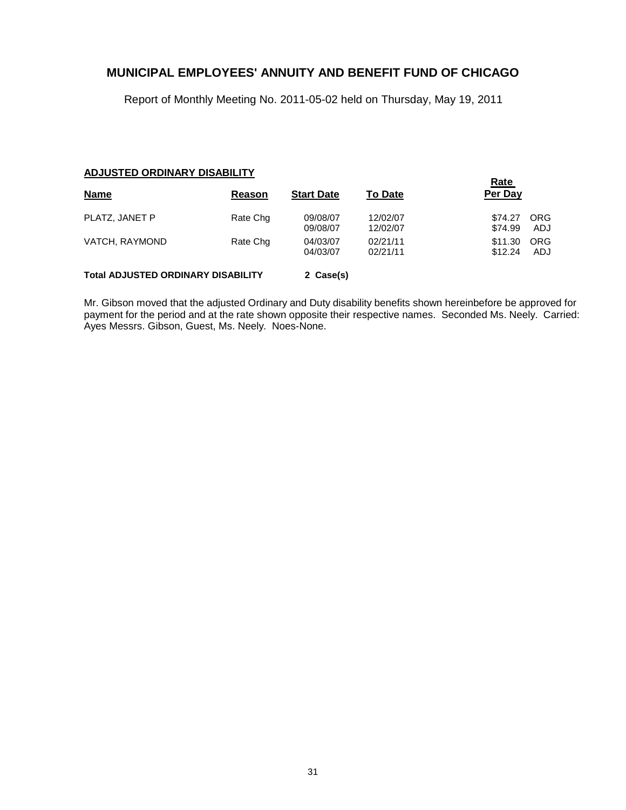Report of Monthly Meeting No. 2011-05-02 held on Thursday, May 19, 2011

#### **ADJUSTED ORDINARY DISABILITY**

|                                           |          |                      | Rate                 |                    |                   |
|-------------------------------------------|----------|----------------------|----------------------|--------------------|-------------------|
| <b>Name</b>                               | Reason   | <b>Start Date</b>    | <b>To Date</b>       | Per Day            |                   |
| PLATZ, JANET P                            | Rate Chg | 09/08/07<br>09/08/07 | 12/02/07<br>12/02/07 | \$74.27<br>\$74.99 | ORG<br>ADJ        |
| VATCH, RAYMOND                            | Rate Chg | 04/03/07<br>04/03/07 | 02/21/11<br>02/21/11 | \$11.30<br>\$12.24 | <b>ORG</b><br>ADJ |
| <b>Total ADJUSTED ORDINARY DISABILITY</b> |          | 2 Case(s)            |                      |                    |                   |

Mr. Gibson moved that the adjusted Ordinary and Duty disability benefits shown hereinbefore be approved for payment for the period and at the rate shown opposite their respective names. Seconded Ms. Neely. Carried: Ayes Messrs. Gibson, Guest, Ms. Neely. Noes-None.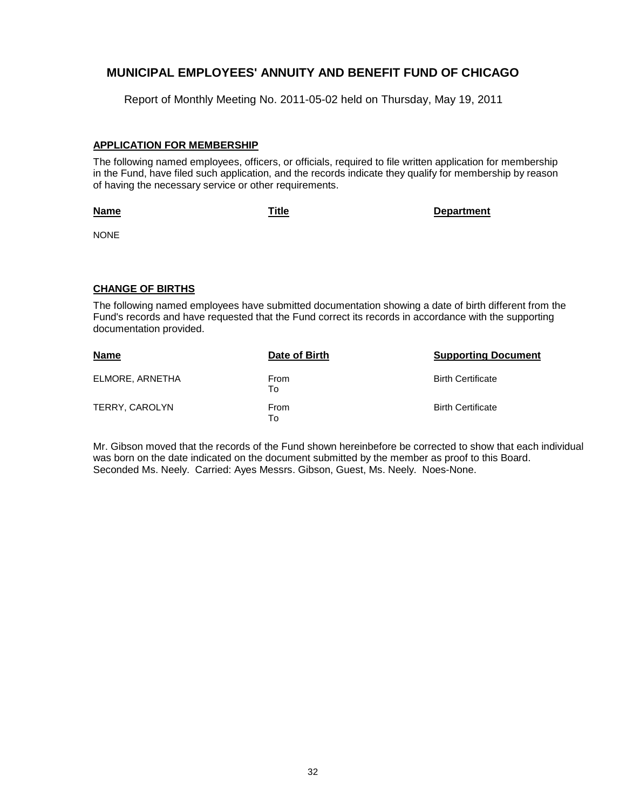Report of Monthly Meeting No. 2011-05-02 held on Thursday, May 19, 2011

#### **APPLICATION FOR MEMBERSHIP**

The following named employees, officers, or officials, required to file written application for membership in the Fund, have filed such application, and the records indicate they qualify for membership by reason of having the necessary service or other requirements.

#### **Name**

**Title Department**

NONE

### **CHANGE OF BIRTHS**

The following named employees have submitted documentation showing a date of birth different from the Fund's records and have requested that the Fund correct its records in accordance with the supporting documentation provided.

| <b>Name</b>     | Date of Birth | <b>Supporting Document</b> |
|-----------------|---------------|----------------------------|
| ELMORE, ARNETHA | From<br>To    | <b>Birth Certificate</b>   |
| TERRY, CAROLYN  | From<br>To    | <b>Birth Certificate</b>   |

Mr. Gibson moved that the records of the Fund shown hereinbefore be corrected to show that each individual was born on the date indicated on the document submitted by the member as proof to this Board. Seconded Ms. Neely. Carried: Ayes Messrs. Gibson, Guest, Ms. Neely. Noes-None.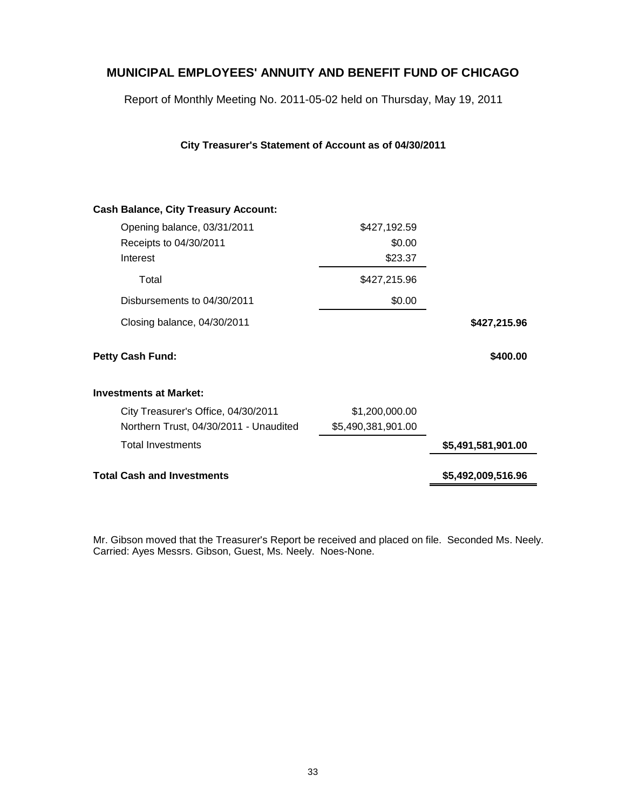Report of Monthly Meeting No. 2011-05-02 held on Thursday, May 19, 2011

| City Treasurer's Statement of Account as of 04/30/2011 |  |
|--------------------------------------------------------|--|
|--------------------------------------------------------|--|

| <b>Cash Balance, City Treasury Account:</b> |                    |                    |
|---------------------------------------------|--------------------|--------------------|
| Opening balance, 03/31/2011                 | \$427,192.59       |                    |
| Receipts to 04/30/2011                      | \$0.00             |                    |
| Interest                                    | \$23.37            |                    |
| Total                                       | \$427,215.96       |                    |
| Disbursements to 04/30/2011                 | \$0.00             |                    |
| Closing balance, 04/30/2011                 |                    | \$427,215.96       |
| <b>Petty Cash Fund:</b>                     |                    | \$400.00           |
| <b>Investments at Market:</b>               |                    |                    |
| City Treasurer's Office, 04/30/2011         | \$1,200,000.00     |                    |
| Northern Trust, 04/30/2011 - Unaudited      | \$5,490,381,901.00 |                    |
| <b>Total Investments</b>                    |                    | \$5,491,581,901.00 |
| <b>Total Cash and Investments</b>           |                    | \$5,492,009,516.96 |
|                                             |                    |                    |

Mr. Gibson moved that the Treasurer's Report be received and placed on file. Seconded Ms. Neely. Carried: Ayes Messrs. Gibson, Guest, Ms. Neely. Noes-None.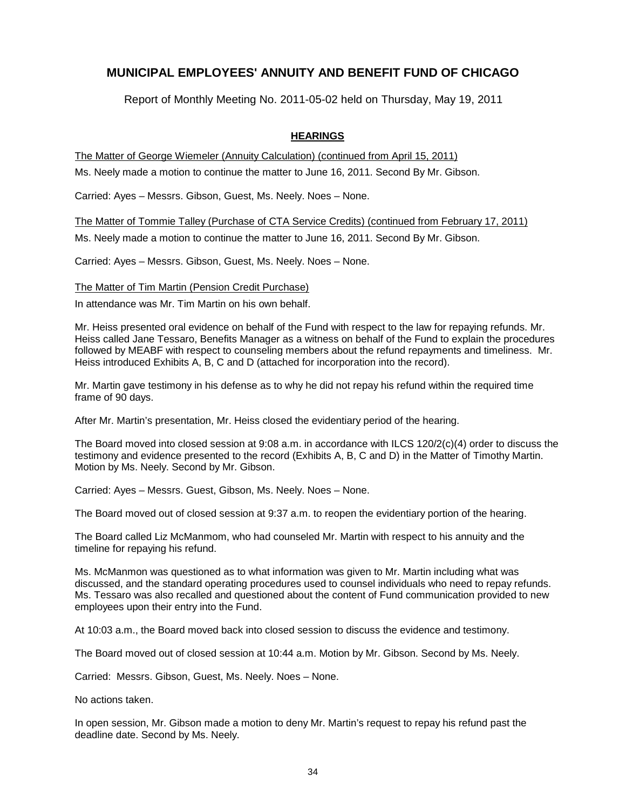Report of Monthly Meeting No. 2011-05-02 held on Thursday, May 19, 2011

### **HEARINGS**

The Matter of George Wiemeler (Annuity Calculation) (continued from April 15, 2011)

Ms. Neely made a motion to continue the matter to June 16, 2011. Second By Mr. Gibson.

Carried: Ayes – Messrs. Gibson, Guest, Ms. Neely. Noes – None.

The Matter of Tommie Talley (Purchase of CTA Service Credits) (continued from February 17, 2011) Ms. Neely made a motion to continue the matter to June 16, 2011. Second By Mr. Gibson.

Carried: Ayes – Messrs. Gibson, Guest, Ms. Neely. Noes – None.

### The Matter of Tim Martin (Pension Credit Purchase)

In attendance was Mr. Tim Martin on his own behalf.

Mr. Heiss presented oral evidence on behalf of the Fund with respect to the law for repaying refunds. Mr. Heiss called Jane Tessaro, Benefits Manager as a witness on behalf of the Fund to explain the procedures followed by MEABF with respect to counseling members about the refund repayments and timeliness. Mr. Heiss introduced Exhibits A, B, C and D (attached for incorporation into the record).

Mr. Martin gave testimony in his defense as to why he did not repay his refund within the required time frame of 90 days.

After Mr. Martin's presentation, Mr. Heiss closed the evidentiary period of the hearing.

The Board moved into closed session at 9:08 a.m. in accordance with ILCS 120/2(c)(4) order to discuss the testimony and evidence presented to the record (Exhibits A, B, C and D) in the Matter of Timothy Martin. Motion by Ms. Neely. Second by Mr. Gibson.

Carried: Ayes – Messrs. Guest, Gibson, Ms. Neely. Noes – None.

The Board moved out of closed session at 9:37 a.m. to reopen the evidentiary portion of the hearing.

The Board called Liz McManmom, who had counseled Mr. Martin with respect to his annuity and the timeline for repaying his refund.

Ms. McManmon was questioned as to what information was given to Mr. Martin including what was discussed, and the standard operating procedures used to counsel individuals who need to repay refunds. Ms. Tessaro was also recalled and questioned about the content of Fund communication provided to new employees upon their entry into the Fund.

At 10:03 a.m., the Board moved back into closed session to discuss the evidence and testimony.

The Board moved out of closed session at 10:44 a.m. Motion by Mr. Gibson. Second by Ms. Neely.

Carried: Messrs. Gibson, Guest, Ms. Neely. Noes – None.

No actions taken.

In open session, Mr. Gibson made a motion to deny Mr. Martin's request to repay his refund past the deadline date. Second by Ms. Neely.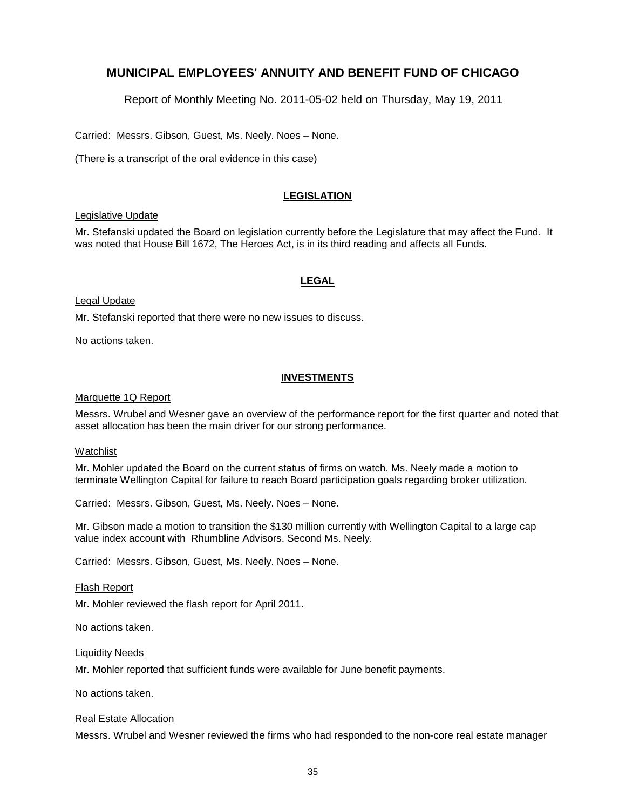Report of Monthly Meeting No. 2011-05-02 held on Thursday, May 19, 2011

Carried: Messrs. Gibson, Guest, Ms. Neely. Noes – None.

(There is a transcript of the oral evidence in this case)

### **LEGISLATION**

#### Legislative Update

Mr. Stefanski updated the Board on legislation currently before the Legislature that may affect the Fund. It was noted that House Bill 1672, The Heroes Act, is in its third reading and affects all Funds.

### **LEGAL**

Legal Update

Mr. Stefanski reported that there were no new issues to discuss.

No actions taken.

### **INVESTMENTS**

### Marquette 1Q Report

Messrs. Wrubel and Wesner gave an overview of the performance report for the first quarter and noted that asset allocation has been the main driver for our strong performance.

#### Watchlist

Mr. Mohler updated the Board on the current status of firms on watch. Ms. Neely made a motion to terminate Wellington Capital for failure to reach Board participation goals regarding broker utilization.

Carried: Messrs. Gibson, Guest, Ms. Neely. Noes – None.

Mr. Gibson made a motion to transition the \$130 million currently with Wellington Capital to a large cap value index account with Rhumbline Advisors. Second Ms. Neely.

Carried: Messrs. Gibson, Guest, Ms. Neely. Noes – None.

#### Flash Report

Mr. Mohler reviewed the flash report for April 2011.

No actions taken.

#### Liquidity Needs

Mr. Mohler reported that sufficient funds were available for June benefit payments.

No actions taken.

#### Real Estate Allocation

Messrs. Wrubel and Wesner reviewed the firms who had responded to the non-core real estate manager